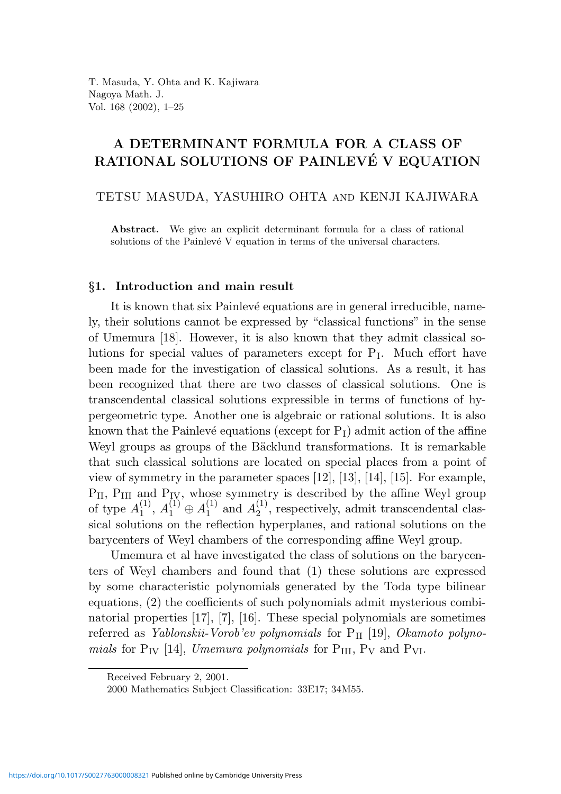# A DETERMINANT FORMULA FOR A CLASS OF RATIONAL SOLUTIONS OF PAINLEVÉ V EQUATION

TETSU MASUDA, YASUHIRO OHTA and KENJI KAJIWARA

Abstract. We give an explicit determinant formula for a class of rational solutions of the Painlevé  $V$  equation in terms of the universal characters.

### §1. Introduction and main result

It is known that six Painlevé equations are in general irreducible, namely, their solutions cannot be expressed by "classical functions" in the sense of Umemura [18]. However, it is also known that they admit classical solutions for special values of parameters except for P<sup>I</sup> . Much effort have been made for the investigation of classical solutions. As a result, it has been recognized that there are two classes of classical solutions. One is transcendental classical solutions expressible in terms of functions of hypergeometric type. Another one is algebraic or rational solutions. It is also known that the Painlevé equations (except for  $P_1$ ) admit action of the affine Weyl groups as groups of the Bäcklund transformations. It is remarkable that such classical solutions are located on special places from a point of view of symmetry in the parameter spaces [12], [13], [14], [15]. For example,  $P_{II}$ ,  $P_{III}$  and  $P_{IV}$ , whose symmetry is described by the affine Weyl group of type  $A_1^{(1)}$  $\stackrel{(1)}{1}, A_1^{(1)} \oplus A_1^{(1)}$  $_1^{(1)}$  and  $A_2^{(1)}$  $2<sup>(1)</sup>$ , respectively, admit transcendental classical solutions on the reflection hyperplanes, and rational solutions on the barycenters of Weyl chambers of the corresponding affine Weyl group.

Umemura et al have investigated the class of solutions on the barycenters of Weyl chambers and found that (1) these solutions are expressed by some characteristic polynomials generated by the Toda type bilinear equations, (2) the coefficients of such polynomials admit mysterious combinatorial properties [17], [7], [16]. These special polynomials are sometimes referred as *Yablonskii-Vorob'ev polynomials* for  $P_{II}$  [19], *Okamoto polyno*mials for  $P_{IV}$  [14], Umemura polynomials for  $P_{III}$ ,  $P_{V}$  and  $P_{VI}$ .

Received February 2, 2001.

<sup>2000</sup> Mathematics Subject Classification: 33E17; 34M55.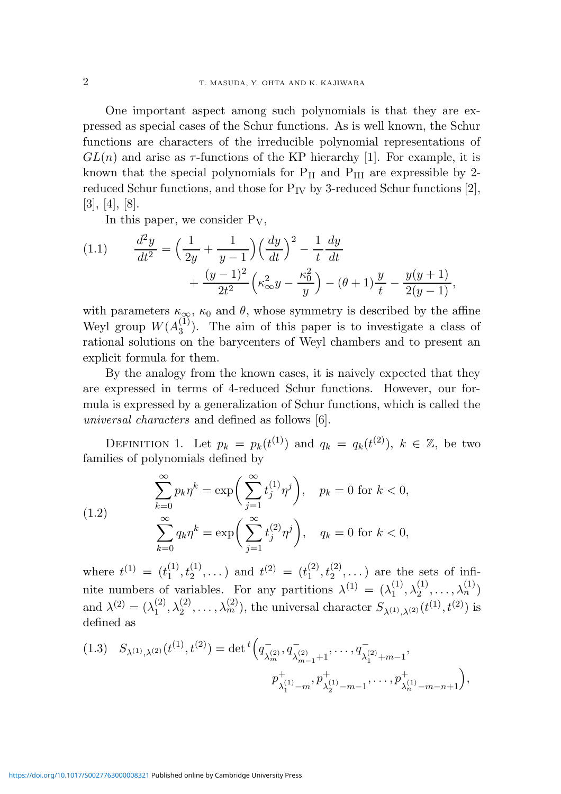One important aspect among such polynomials is that they are expressed as special cases of the Schur functions. As is well known, the Schur functions are characters of the irreducible polynomial representations of  $GL(n)$  and arise as  $\tau$ -functions of the KP hierarchy [1]. For example, it is known that the special polynomials for  $P_{II}$  and  $P_{III}$  are expressible by 2reduced Schur functions, and those for  $P_{IV}$  by 3-reduced Schur functions [2], [3], [4], [8].

In this paper, we consider  $P_V$ ,

(1.1) 
$$
\frac{d^2y}{dt^2} = \left(\frac{1}{2y} + \frac{1}{y-1}\right) \left(\frac{dy}{dt}\right)^2 - \frac{1}{t} \frac{dy}{dt} + \frac{(y-1)^2}{2t^2} \left(\kappa_\infty^2 y - \frac{\kappa_0^2}{y}\right) - (\theta + 1) \frac{y}{t} - \frac{y(y+1)}{2(y-1)},
$$

with parameters  $\kappa_{\infty}$ ,  $\kappa_0$  and  $\theta$ , whose symmetry is described by the affine Weyl group  $W(A_3^{(1)})$  $\binom{1}{3}$ . The aim of this paper is to investigate a class of rational solutions on the barycenters of Weyl chambers and to present an explicit formula for them.

By the analogy from the known cases, it is naively expected that they are expressed in terms of 4-reduced Schur functions. However, our formula is expressed by a generalization of Schur functions, which is called the universal characters and defined as follows [6].

DEFINITION 1. Let  $p_k = p_k(t^{(1)})$  and  $q_k = q_k(t^{(2)})$ ,  $k \in \mathbb{Z}$ , be two families of polynomials defined by

(1.2) 
$$
\sum_{k=0}^{\infty} p_k \eta^k = \exp\bigg(\sum_{j=1}^{\infty} t_j^{(1)} \eta^j\bigg), \quad p_k = 0 \text{ for } k < 0,
$$

$$
\sum_{k=0}^{\infty} q_k \eta^k = \exp\bigg(\sum_{j=1}^{\infty} t_j^{(2)} \eta^j\bigg), \quad q_k = 0 \text{ for } k < 0,
$$

where  $t^{(1)} = (t_1^{(1)})$  $\binom{11}{1},\binom{11}{2}$  $t_2^{(1)}, \ldots$ ) and  $t^{(2)} = (t_1^{(2)})$  $\binom{2}{1},\binom{2}{2}$  $\binom{2}{2}, \ldots$ ) are the sets of infinite numbers of variables. For any partitions  $\lambda^{(1)} = (\lambda_1^{(1)})$  $\overset{(1)}{1}, \lambda_2^{(1)}$  $\lambda_2^{(1)}, \ldots, \lambda_n^{(1)})$ and  $\lambda^{(2)} = (\lambda_1^{(2)}$  $\overset{(2)}{1}, \lambda_2^{(2)}$  $\lambda_2^{(2)}, \ldots, \lambda_m^{(2)}$ , the universal character  $S_{\lambda^{(1)},\lambda^{(2)}}(t^{(1)},t^{(2)})$  is defined as

$$
(1.3) \quad S_{\lambda^{(1)},\lambda^{(2)}}(t^{(1)},t^{(2)}) = \det^t \left( q^{-}_{\lambda^{(2)}_m}, q^{-}_{\lambda^{(2)}_{m-1}+1}, \dots, q^{-}_{\lambda^{(2)}_1+m-1}, \dots, q^{-}_{\lambda^{(1)}_1+m-1}, q^{-}_{\lambda^{(1)}_1-m}, q^{+}_{\lambda^{(1)}_2-m-1}, \dots, q^{+}_{\lambda^{(1)}_n-m-n+1} \right),
$$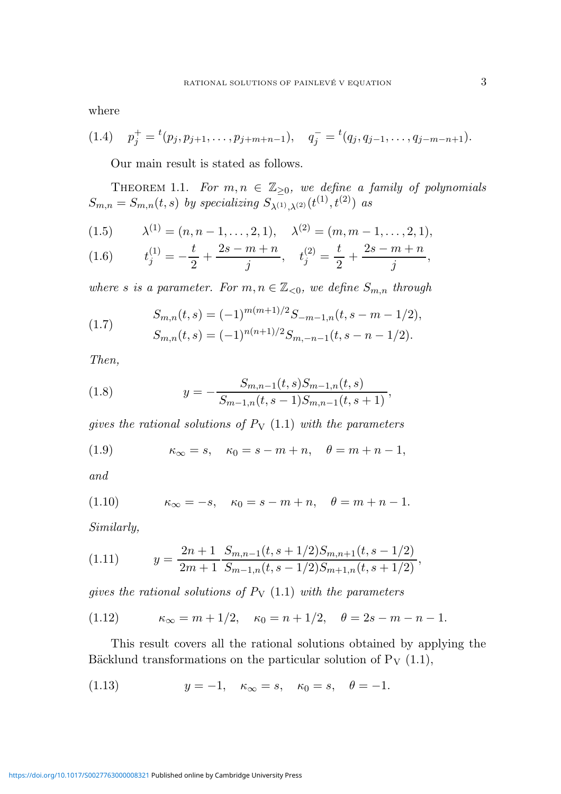where

$$
(1.4) \t p_j^+ = {}^t(p_j, p_{j+1}, \ldots, p_{j+m+n-1}), \t q_j^- = {}^t(q_j, q_{j-1}, \ldots, q_{j-m-n+1}).
$$

Our main result is stated as follows.

THEOREM 1.1. For  $m, n \in \mathbb{Z}_{\geq 0}$ , we define a family of polynomials  $S_{m,n} = S_{m,n}(t,s)$  by specializing  $S_{\lambda^{(1)},\lambda^{(2)}}(t^{(1)},t^{(2)})$  as

(1.5) 
$$
\lambda^{(1)} = (n, n-1, \dots, 2, 1), \quad \lambda^{(2)} = (m, m-1, \dots, 2, 1),
$$

(1.6) 
$$
t_j^{(1)} = -\frac{t}{2} + \frac{2s - m + n}{j}, \quad t_j^{(2)} = \frac{t}{2} + \frac{2s - m + n}{j},
$$

where s is a parameter. For  $m, n \in \mathbb{Z}_{\leq 0}$ , we define  $S_{m,n}$  through

(1.7) 
$$
S_{m,n}(t,s) = (-1)^{m(m+1)/2} S_{-m-1,n}(t,s-m-1/2),
$$

$$
S_{m,n}(t,s) = (-1)^{n(n+1)/2} S_{m,-n-1}(t,s-n-1/2).
$$

Then,

(1.8) 
$$
y = -\frac{S_{m,n-1}(t,s)S_{m-1,n}(t,s)}{S_{m-1,n}(t,s-1)S_{m,n-1}(t,s+1)},
$$

gives the rational solutions of  $P_V$  (1.1) with the parameters

(1.9) 
$$
\kappa_{\infty} = s, \quad \kappa_0 = s - m + n, \quad \theta = m + n - 1,
$$

and

(1.10) 
$$
\kappa_{\infty} = -s, \quad \kappa_0 = s - m + n, \quad \theta = m + n - 1.
$$

Similarly,

(1.11) 
$$
y = \frac{2n+1}{2m+1} \frac{S_{m,n-1}(t,s+1/2)S_{m,n+1}(t,s-1/2)}{S_{m-1,n}(t,s-1/2)S_{m+1,n}(t,s+1/2)},
$$

gives the rational solutions of  $P_V$  (1.1) with the parameters

(1.12) 
$$
\kappa_{\infty} = m + 1/2, \quad \kappa_0 = n + 1/2, \quad \theta = 2s - m - n - 1.
$$

This result covers all the rational solutions obtained by applying the Bäcklund transformations on the particular solution of  $P_V$  (1.1),

(1.13) 
$$
y = -1, \quad \kappa_{\infty} = s, \quad \kappa_0 = s, \quad \theta = -1.
$$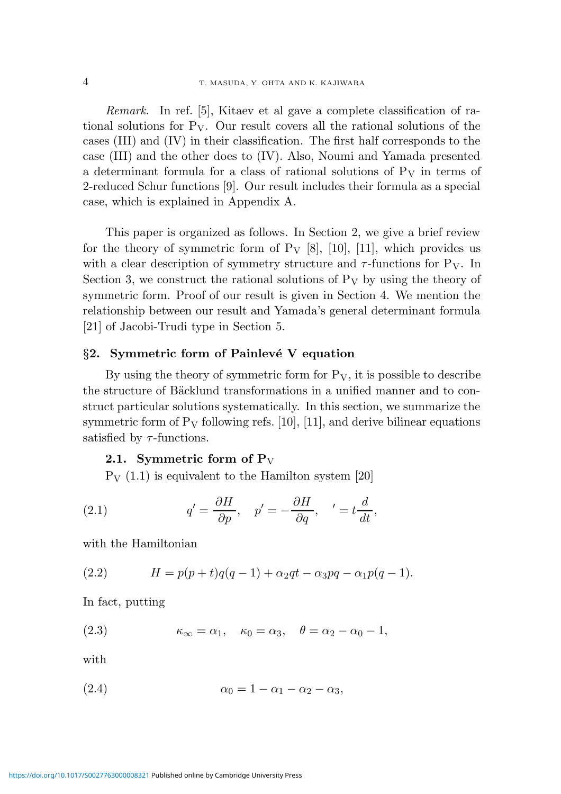Remark. In ref. [5], Kitaev et al gave a complete classification of rational solutions for  $P_V$ . Our result covers all the rational solutions of the cases (III) and (IV) in their classification. The first half corresponds to the case (III) and the other does to (IV). Also, Noumi and Yamada presented a determinant formula for a class of rational solutions of  $P_V$  in terms of 2-reduced Schur functions [9]. Our result includes their formula as a special case, which is explained in Appendix A.

This paper is organized as follows. In Section 2, we give a brief review for the theory of symmetric form of  $P_V$  [8], [10], [11], which provides us with a clear description of symmetry structure and  $\tau$ -functions for P<sub>V</sub>. In Section 3, we construct the rational solutions of  $P_V$  by using the theory of symmetric form. Proof of our result is given in Section 4. We mention the relationship between our result and Yamada's general determinant formula [21] of Jacobi-Trudi type in Section 5.

#### $§2.$  Symmetric form of Painlevé V equation

By using the theory of symmetric form for  $P_V$ , it is possible to describe the structure of Bäcklund transformations in a unified manner and to construct particular solutions systematically. In this section, we summarize the symmetric form of  $P_V$  following refs. [10], [11], and derive bilinear equations satisfied by  $\tau$ -functions.

### 2.1. Symmetric form of  $P_V$

 $P_V$  (1.1) is equivalent to the Hamilton system [20]

(2.1) 
$$
q' = \frac{\partial H}{\partial p}, \quad p' = -\frac{\partial H}{\partial q}, \quad ' = t\frac{d}{dt},
$$

with the Hamiltonian

(2.2) 
$$
H = p(p+t)q(q-1) + \alpha_2qt - \alpha_3pq - \alpha_1p(q-1).
$$

In fact, putting

(2.3) 
$$
\kappa_{\infty} = \alpha_1, \quad \kappa_0 = \alpha_3, \quad \theta = \alpha_2 - \alpha_0 - 1,
$$

with

$$
\alpha_0 = 1 - \alpha_1 - \alpha_2 - \alpha_3,
$$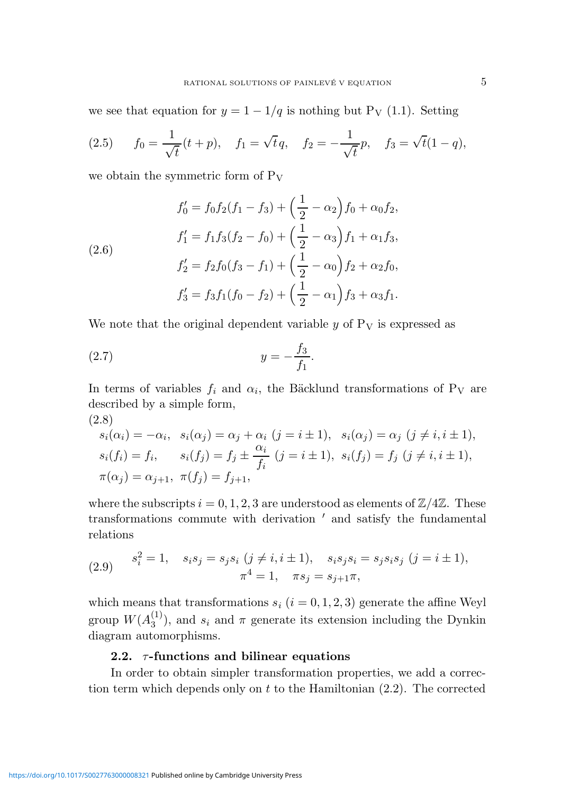we see that equation for  $y = 1 - 1/q$  is nothing but P<sub>V</sub> (1.1). Setting

(2.5) 
$$
f_0 = \frac{1}{\sqrt{t}}(t+p), \quad f_1 = \sqrt{t}q, \quad f_2 = -\frac{1}{\sqrt{t}}p, \quad f_3 = \sqrt{t}(1-q),
$$

we obtain the symmetric form of  $P_V$ 

(2.6)  
\n
$$
f'_0 = f_0 f_2 (f_1 - f_3) + \left(\frac{1}{2} - \alpha_2\right) f_0 + \alpha_0 f_2,
$$
\n
$$
f'_1 = f_1 f_3 (f_2 - f_0) + \left(\frac{1}{2} - \alpha_3\right) f_1 + \alpha_1 f_3,
$$
\n
$$
f'_2 = f_2 f_0 (f_3 - f_1) + \left(\frac{1}{2} - \alpha_0\right) f_2 + \alpha_2 f_0,
$$
\n
$$
f'_3 = f_3 f_1 (f_0 - f_2) + \left(\frac{1}{2} - \alpha_1\right) f_3 + \alpha_3 f_1.
$$

We note that the original dependent variable  $y$  of  $P_V$  is expressed as

(2.7) 
$$
y = -\frac{f_3}{f_1}.
$$

In terms of variables  $f_i$  and  $\alpha_i$ , the Bäcklund transformations of P<sub>V</sub> are described by a simple form, (2.8)

$$
s_i(\alpha_i) = -\alpha_i, \quad s_i(\alpha_j) = \alpha_j + \alpha_i \ (j = i \pm 1), \quad s_i(\alpha_j) = \alpha_j \ (j \neq i, i \pm 1),
$$
  
\n
$$
s_i(f_i) = f_i, \qquad s_i(f_j) = f_j \pm \frac{\alpha_i}{f_i} \ (j = i \pm 1), \quad s_i(f_j) = f_j \ (j \neq i, i \pm 1),
$$
  
\n
$$
\pi(\alpha_j) = \alpha_{j+1}, \ \pi(f_j) = f_{j+1},
$$

where the subscripts  $i = 0, 1, 2, 3$  are understood as elements of  $\mathbb{Z}/4\mathbb{Z}$ . These transformations commute with derivation  $'$  and satisfy the fundamental relations

(2.9) 
$$
s_i^2 = 1, \quad s_i s_j = s_j s_i \ (j \neq i, i \pm 1), \quad s_i s_j s_i = s_j s_i s_j \ (j = i \pm 1),
$$

$$
\pi^4 = 1, \quad \pi s_j = s_{j+1} \pi,
$$

which means that transformations  $s_i$   $(i = 0, 1, 2, 3)$  generate the affine Weyl group  $W(A_3^{(1)}$  $s_i^{(1)}$ , and  $s_i$  and  $\pi$  generate its extension including the Dynkin diagram automorphisms.

### 2.2.  $\tau$ -functions and bilinear equations

In order to obtain simpler transformation properties, we add a correction term which depends only on t to the Hamiltonian  $(2.2)$ . The corrected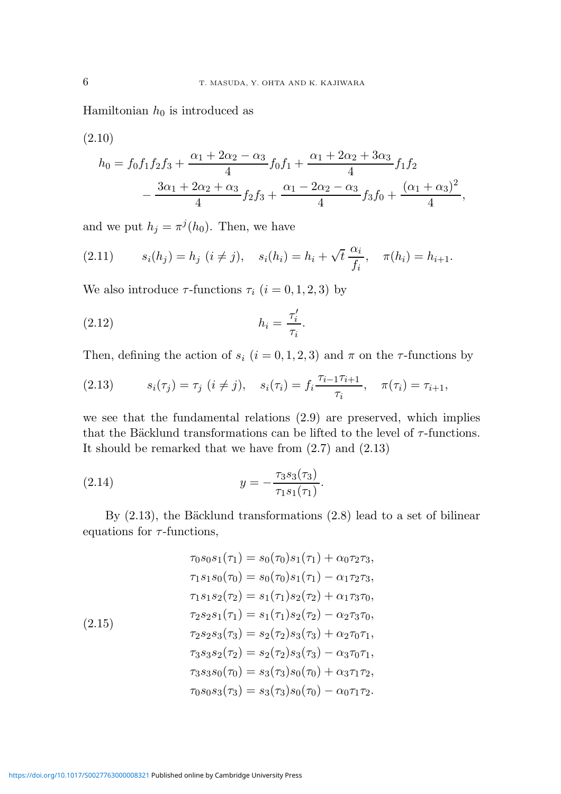Hamiltonian  $h_0$  is introduced as

(2.10)

$$
h_0 = f_0 f_1 f_2 f_3 + \frac{\alpha_1 + 2\alpha_2 - \alpha_3}{4} f_0 f_1 + \frac{\alpha_1 + 2\alpha_2 + 3\alpha_3}{4} f_1 f_2
$$
  

$$
- \frac{3\alpha_1 + 2\alpha_2 + \alpha_3}{4} f_2 f_3 + \frac{\alpha_1 - 2\alpha_2 - \alpha_3}{4} f_3 f_0 + \frac{(\alpha_1 + \alpha_3)^2}{4},
$$

and we put  $h_j = \pi^j(h_0)$ . Then, we have

(2.11) 
$$
s_i(h_j) = h_j \ (i \neq j), \quad s_i(h_i) = h_i + \sqrt{t} \frac{\alpha_i}{f_i}, \quad \pi(h_i) = h_{i+1}.
$$

We also introduce  $\tau$ -functions  $\tau_i$   $(i = 0, 1, 2, 3)$  by

$$
(2.12) \t\t\t\t h_i = \frac{\tau'_i}{\tau_i}.
$$

Then, defining the action of  $s_i$   $(i = 0, 1, 2, 3)$  and  $\pi$  on the  $\tau$ -functions by

(2.13) 
$$
s_i(\tau_j) = \tau_j \ (i \neq j), \quad s_i(\tau_i) = f_i \frac{\tau_{i-1} \tau_{i+1}}{\tau_i}, \quad \pi(\tau_i) = \tau_{i+1},
$$

we see that the fundamental relations (2.9) are preserved, which implies that the Bäcklund transformations can be lifted to the level of  $\tau\text{-functions.}$ It should be remarked that we have from (2.7) and (2.13)

(2.14) 
$$
y = -\frac{\tau_3 s_3(\tau_3)}{\tau_1 s_1(\tau_1)}.
$$

By  $(2.13)$ , the Bäcklund transformations  $(2.8)$  lead to a set of bilinear equations for  $\tau$ -functions,

$$
\tau_0 s_0 s_1(\tau_1) = s_0(\tau_0) s_1(\tau_1) + \alpha_0 \tau_2 \tau_3,
$$
  
\n
$$
\tau_1 s_1 s_0(\tau_0) = s_0(\tau_0) s_1(\tau_1) - \alpha_1 \tau_2 \tau_3,
$$
  
\n
$$
\tau_1 s_1 s_2(\tau_2) = s_1(\tau_1) s_2(\tau_2) + \alpha_1 \tau_3 \tau_0,
$$
  
\n
$$
\tau_2 s_2 s_1(\tau_1) = s_1(\tau_1) s_2(\tau_2) - \alpha_2 \tau_3 \tau_0,
$$
  
\n
$$
\tau_2 s_2 s_3(\tau_3) = s_2(\tau_2) s_3(\tau_3) + \alpha_2 \tau_0 \tau_1,
$$
  
\n
$$
\tau_3 s_3 s_2(\tau_2) = s_2(\tau_2) s_3(\tau_3) - \alpha_3 \tau_0 \tau_1,
$$
  
\n
$$
\tau_3 s_3 s_0(\tau_0) = s_3(\tau_3) s_0(\tau_0) + \alpha_3 \tau_1 \tau_2,
$$
  
\n
$$
\tau_0 s_0 s_3(\tau_3) = s_3(\tau_3) s_0(\tau_0) - \alpha_0 \tau_1 \tau_2.
$$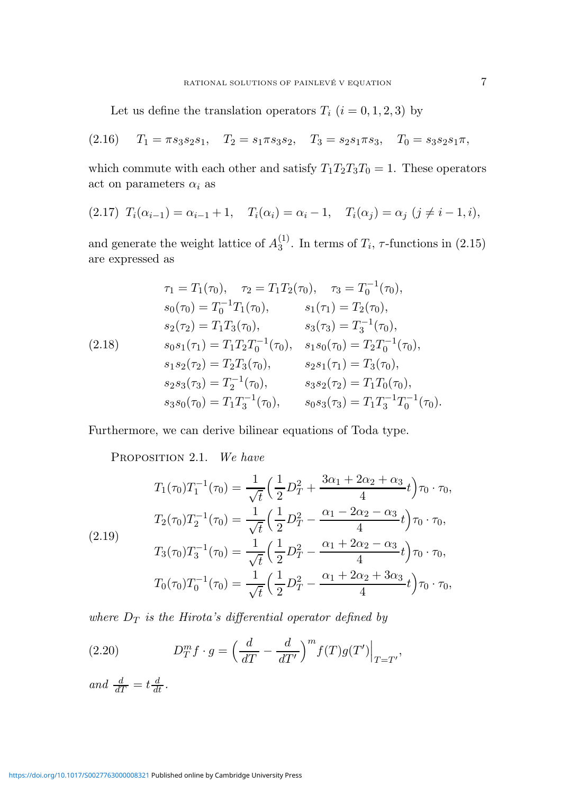Let us define the translation operators  $T_i$   $(i = 0, 1, 2, 3)$  by

$$
(2.16) \tT_1 = \pi s_3 s_2 s_1, \tT_2 = s_1 \pi s_3 s_2, \tT_3 = s_2 s_1 \pi s_3, \tT_0 = s_3 s_2 s_1 \pi,
$$

which commute with each other and satisfy  $T_1T_2T_3T_0 = 1$ . These operators act on parameters  $\alpha_i$  as

(2.17) 
$$
T_i(\alpha_{i-1}) = \alpha_{i-1} + 1
$$
,  $T_i(\alpha_i) = \alpha_i - 1$ ,  $T_i(\alpha_j) = \alpha_j$   $(j \neq i-1, i)$ ,

and generate the weight lattice of  $A_3^{(1)}$  $_{3}^{(1)}$ . In terms of  $T_i$ ,  $\tau$ -functions in (2.15) are expressed as

$$
\tau_1 = T_1(\tau_0), \quad \tau_2 = T_1T_2(\tau_0), \quad \tau_3 = T_0^{-1}(\tau_0),
$$
  
\n
$$
s_0(\tau_0) = T_0^{-1}T_1(\tau_0), \quad s_1(\tau_1) = T_2(\tau_0),
$$
  
\n
$$
s_2(\tau_2) = T_1T_3(\tau_0), \quad s_3(\tau_3) = T_3^{-1}(\tau_0),
$$
  
\n
$$
s_0s_1(\tau_1) = T_1T_2T_0^{-1}(\tau_0), \quad s_1s_0(\tau_0) = T_2T_0^{-1}(\tau_0),
$$
  
\n
$$
s_1s_2(\tau_2) = T_2T_3(\tau_0), \quad s_2s_1(\tau_1) = T_3(\tau_0),
$$
  
\n
$$
s_2s_3(\tau_3) = T_2^{-1}(\tau_0), \quad s_3s_2(\tau_2) = T_1T_0(\tau_0),
$$
  
\n
$$
s_3s_0(\tau_0) = T_1T_3^{-1}(\tau_0), \quad s_0s_3(\tau_3) = T_1T_3^{-1}T_0^{-1}(\tau_0).
$$

Furthermore, we can derive bilinear equations of Toda type.

PROPOSITION 2.1. We have

$$
T_1(\tau_0)T_1^{-1}(\tau_0) = \frac{1}{\sqrt{t}} \left(\frac{1}{2}D_T^2 + \frac{3\alpha_1 + 2\alpha_2 + \alpha_3}{4}t\right) \tau_0 \cdot \tau_0,
$$
  
\n
$$
T_2(\tau_0)T_2^{-1}(\tau_0) = \frac{1}{\sqrt{t}} \left(\frac{1}{2}D_T^2 - \frac{\alpha_1 - 2\alpha_2 - \alpha_3}{4}t\right) \tau_0 \cdot \tau_0,
$$
  
\n
$$
T_3(\tau_0)T_3^{-1}(\tau_0) = \frac{1}{\sqrt{t}} \left(\frac{1}{2}D_T^2 - \frac{\alpha_1 + 2\alpha_2 - \alpha_3}{4}t\right) \tau_0 \cdot \tau_0,
$$
  
\n
$$
T_0(\tau_0)T_0^{-1}(\tau_0) = \frac{1}{\sqrt{t}} \left(\frac{1}{2}D_T^2 - \frac{\alpha_1 + 2\alpha_2 + 3\alpha_3}{4}t\right) \tau_0 \cdot \tau_0,
$$

where  $D_T$  is the Hirota's differential operator defined by

(2.20) 
$$
D_T^m f \cdot g = \left(\frac{d}{dT} - \frac{d}{dT'}\right)^m f(T)g(T')\Big|_{T=T'},
$$

and  $\frac{d}{dT} = t \frac{d}{dt}$ .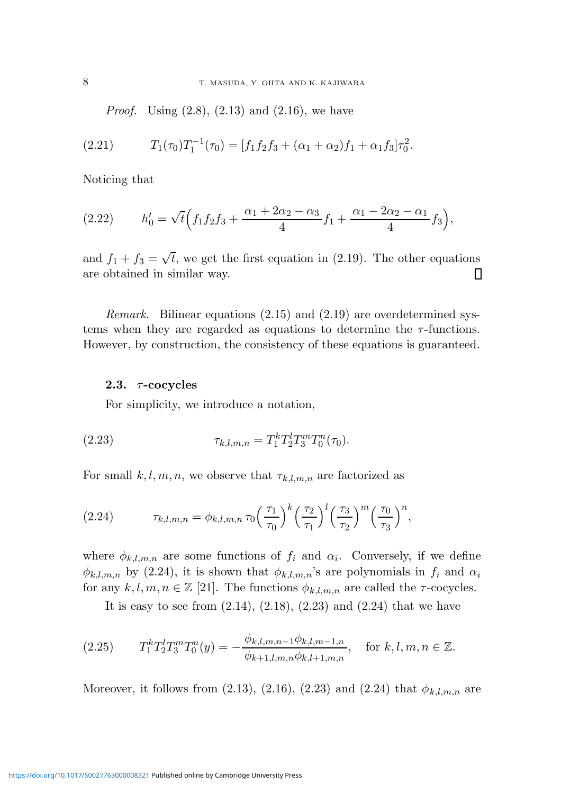*Proof.* Using  $(2.8)$ ,  $(2.13)$  and  $(2.16)$ , we have

(2.21) 
$$
T_1(\tau_0)T_1^{-1}(\tau_0) = [f_1f_2f_3 + (\alpha_1 + \alpha_2)f_1 + \alpha_1f_3]\tau_0^2.
$$

Noticing that

(2.22) 
$$
h'_0 = \sqrt{t} \left( f_1 f_2 f_3 + \frac{\alpha_1 + 2\alpha_2 - \alpha_3}{4} f_1 + \frac{\alpha_1 - 2\alpha_2 - \alpha_1}{4} f_3 \right),
$$

and  $f_1 + f_3 = \sqrt{t}$ , we get the first equation in (2.19). The other equations are obtained in similar way. ▯

Remark. Bilinear equations (2.15) and (2.19) are overdetermined systems when they are regarded as equations to determine the  $\tau$ -functions. However, by construction, the consistency of these equations is guaranteed.

#### 2.3.  $\tau$ -cocycles

For simplicity, we introduce a notation,

(2.23) 
$$
\tau_{k,l,m,n} = T_1^k T_2^l T_3^m T_0^n(\tau_0).
$$

For small  $k, l, m, n$ , we observe that  $\tau_{k,l,m,n}$  are factorized as

(2.24) 
$$
\tau_{k,l,m,n} = \phi_{k,l,m,n} \tau_0 \left(\frac{\tau_1}{\tau_0}\right)^k \left(\frac{\tau_2}{\tau_1}\right)^l \left(\frac{\tau_3}{\tau_2}\right)^m \left(\frac{\tau_0}{\tau_3}\right)^n,
$$

where  $\phi_{k,l,m,n}$  are some functions of  $f_i$  and  $\alpha_i$ . Conversely, if we define  $\phi_{k,l,m,n}$  by (2.24), it is shown that  $\phi_{k,l,m,n}$ 's are polynomials in  $f_i$  and  $\alpha_i$ for any  $k, l, m, n \in \mathbb{Z}$  [21]. The functions  $\phi_{k,l,m,n}$  are called the  $\tau$ -cocycles.

It is easy to see from  $(2.14)$ ,  $(2.18)$ ,  $(2.23)$  and  $(2.24)$  that we have

$$
(2.25) \t T_1^k T_2^l T_3^m T_0^n(y) = -\frac{\phi_{k,l,m,n-1}\phi_{k,l,m-1,n}}{\phi_{k+1,l,m,n}\phi_{k,l+1,m,n}}, \text{ for } k,l,m,n \in \mathbb{Z}.
$$

Moreover, it follows from (2.13), (2.16), (2.23) and (2.24) that  $\phi_{k,l,m,n}$  are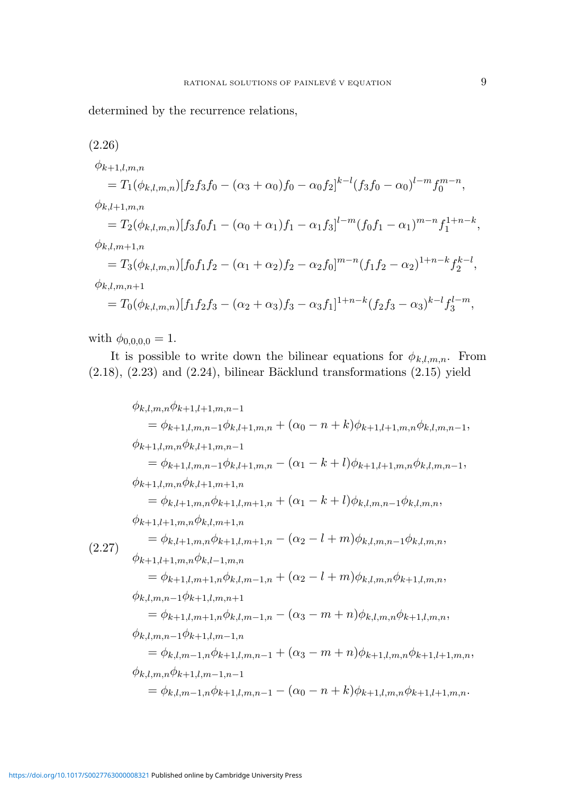determined by the recurrence relations,

$$
(2.26)
$$
\n
$$
\phi_{k+1,l,m,n}
$$
\n
$$
= T_1(\phi_{k,l,m,n})[f_2f_3f_0 - (\alpha_3 + \alpha_0)f_0 - \alpha_0f_2]^{k-l}(f_3f_0 - \alpha_0)^{l-m}f_0^{m-n},
$$
\n
$$
\phi_{k,l+1,m,n}
$$
\n
$$
= T_2(\phi_{k,l,m,n})[f_3f_0f_1 - (\alpha_0 + \alpha_1)f_1 - \alpha_1f_3]^{l-m}(f_0f_1 - \alpha_1)^{m-n}f_1^{1+n-k},
$$
\n
$$
\phi_{k,l,m+1,n}
$$
\n
$$
= T_3(\phi_{k,l,m,n})[f_0f_1f_2 - (\alpha_1 + \alpha_2)f_2 - \alpha_2f_0]^{m-n}(f_1f_2 - \alpha_2)^{1+n-k}f_2^{k-l},
$$
\n
$$
\phi_{k,l,m,n+1}
$$
\n
$$
= T_0(\phi_{k,l,m,n})[f_1f_2f_3 - (\alpha_2 + \alpha_3)f_3 - \alpha_3f_1]^{1+n-k}(f_2f_3 - \alpha_3)^{k-l}f_3^{l-m},
$$

with  $\phi_{0,0,0,0} = 1$ .

It is possible to write down the bilinear equations for  $\phi_{k,l,m,n}$ . From  $(2.18)$ ,  $(2.23)$  and  $(2.24)$ , bilinear Bäcklund transformations  $(2.15)$  yield

$$
\phi_{k,l,m,n}\phi_{k+1,l+1,m,n-1}
$$
\n
$$
= \phi_{k+1,l,m,n-1}\phi_{k,l+1,m,n} + (\alpha_0 - n + k)\phi_{k+1,l+1,m,n}\phi_{k,l,m,n-1},
$$
\n
$$
\phi_{k+1,l,m,n}\phi_{k,l+1,m,n-1}
$$
\n
$$
= \phi_{k+1,l,m,n-1}\phi_{k,l+1,m,n} - (\alpha_1 - k + l)\phi_{k+1,l+1,m,n}\phi_{k,l,m,n-1},
$$
\n
$$
\phi_{k+1,l,m,n}\phi_{k,l+1,m+1,n}
$$
\n
$$
= \phi_{k,l+1,m,n}\phi_{k+1,l,m+1,n} + (\alpha_1 - k + l)\phi_{k,l,m,n-1}\phi_{k,l,m,n},
$$
\n
$$
\phi_{k+1,l+1,m,n}\phi_{k,l,m+1,n}
$$
\n
$$
= \phi_{k,l+1,m,n}\phi_{k+1,l,m+1,n} - (\alpha_2 - l + m)\phi_{k,l,m,n-1}\phi_{k,l,m,n},
$$
\n
$$
\phi_{k+1,l+1,m,n}\phi_{k,l-1,m,n}
$$
\n
$$
= \phi_{k+1,l,m+1,n}\phi_{k,l,m-1,n} + (\alpha_2 - l + m)\phi_{k,l,m,n}\phi_{k+1,l,m,n},
$$
\n
$$
\phi_{k,l,m,n-1}\phi_{k+1,l,m,n+1}
$$
\n
$$
= \phi_{k+1,l,m+1,n}\phi_{k,l,m-1,n} - (\alpha_3 - m + n)\phi_{k,l,m,n}\phi_{k+1,l,m,n},
$$
\n
$$
\phi_{k,l,m,n-1}\phi_{k+1,l,m-1,n}
$$
\n
$$
= \phi_{k,l,m-1,n}\phi_{k+1,l,m,n-1} + (\alpha_3 - m + n)\phi_{k+1,l,m,n}\phi_{k+1,l+1,m,n},
$$
\n
$$
\phi_{k,l,m,n}\phi_{k+1,l,m-1,n-1}
$$
\n
$$
= \phi_{k,l,m-1,n}\phi_{k+1,l,m,n-1} - (\alpha_0 - n + k)\phi_{k+1,l,m,n}\phi_{k+1,l+1,m,n}.
$$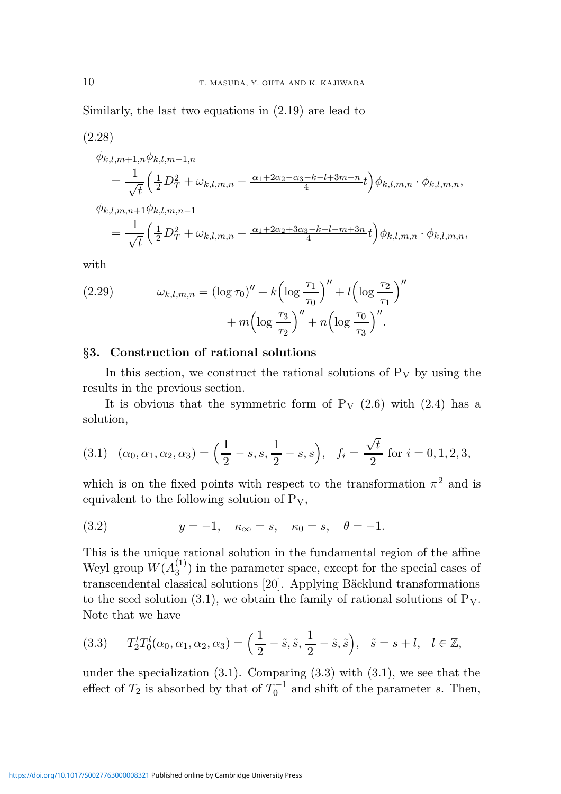Similarly, the last two equations in (2.19) are lead to

(2.28)  $\phi_{k,l,m+1,n}\phi_{k,l,m-1,n}$  $=\frac{1}{4}$  $\sqrt{t}$  $\left(\tfrac{1}{2}D_{T}^2 + \omega_{k,l,m,n} - \tfrac{\alpha_1+2\alpha_2-\alpha_3-k-l+3m-n}{4}t\right)\phi_{k,l,m,n}\cdot\phi_{k,l,m,n},$  $\phi_{k,l,m,n+1}\phi_{k,l,m,n-1}$  $=\frac{1}{2}$  $\sqrt{t}$  $\left(\tfrac{1}{2}D_{T}^2+\omega_{k,l,m,n}-\tfrac{\alpha_1+2\alpha_2+3\alpha_3-k-l-m+3n}{4}t\right)\!\phi_{k,l,m,n}\cdot\phi_{k,l,m,n},$ 

with

(2.29) 
$$
\omega_{k,l,m,n} = (\log \tau_0)'' + k \left( \log \frac{\tau_1}{\tau_0} \right)'' + l \left( \log \frac{\tau_2}{\tau_1} \right)'' + m \left( \log \frac{\tau_3}{\tau_2} \right)'' + n \left( \log \frac{\tau_0}{\tau_3} \right)''.
$$

### §3. Construction of rational solutions

In this section, we construct the rational solutions of  $P_V$  by using the results in the previous section.

It is obvious that the symmetric form of  $P_V$  (2.6) with (2.4) has a solution,

(3.1) 
$$
(\alpha_0, \alpha_1, \alpha_2, \alpha_3) = \left(\frac{1}{2} - s, s, \frac{1}{2} - s, s\right), \quad f_i = \frac{\sqrt{t}}{2} \text{ for } i = 0, 1, 2, 3,
$$

which is on the fixed points with respect to the transformation  $\pi^2$  and is equivalent to the following solution of  $P_V$ ,

(3.2) 
$$
y = -1, \quad \kappa_{\infty} = s, \quad \kappa_0 = s, \quad \theta = -1.
$$

This is the unique rational solution in the fundamental region of the affine Weyl group  $W(A_3^{(1)})$  $\binom{1}{3}$  in the parameter space, except for the special cases of transcendental classical solutions [20]. Applying Bäcklund transformations to the seed solution (3.1), we obtain the family of rational solutions of  $P_V$ . Note that we have

(3.3) 
$$
T_2^l T_0^l(\alpha_0, \alpha_1, \alpha_2, \alpha_3) = \left(\frac{1}{2} - \tilde{s}, \tilde{s}, \frac{1}{2} - \tilde{s}, \tilde{s}\right), \quad \tilde{s} = s + l, \quad l \in \mathbb{Z},
$$

under the specialization  $(3.1)$ . Comparing  $(3.3)$  with  $(3.1)$ , we see that the effect of  $T_2$  is absorbed by that of  $T_0^{-1}$  and shift of the parameter s. Then,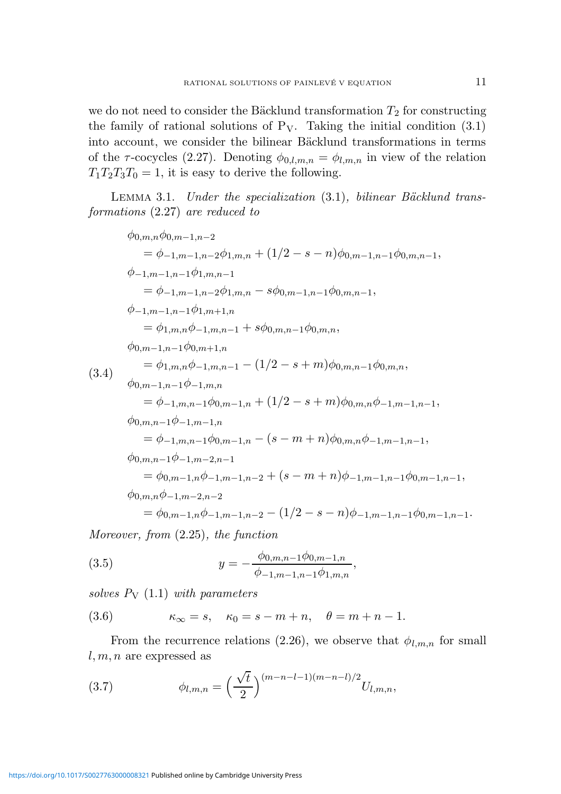we do not need to consider the Bäcklund transformation  $T_2$  for constructing the family of rational solutions of  $P_V$ . Taking the initial condition  $(3.1)$ into account, we consider the bilinear Bäcklund transformations in terms of the  $\tau$ -cocycles (2.27). Denoting  $\phi_{0,l,m,n} = \phi_{l,m,n}$  in view of the relation  $T_1T_2T_3T_0 = 1$ , it is easy to derive the following.

LEMMA 3.1. Under the specialization  $(3.1)$ , bilinear Bäcklund transformations (2.27) are reduced to

$$
\phi_{0,m,n}\phi_{0,m-1,n-2}
$$
\n
$$
= \phi_{-1,m-1,n-2}\phi_{1,m,n} + (1/2 - s - n)\phi_{0,m-1,n-1}\phi_{0,m,n-1},
$$
\n
$$
\phi_{-1,m-1,n-1}\phi_{1,m,n-1}
$$
\n
$$
= \phi_{-1,m-1,n-2}\phi_{1,m,n} - s\phi_{0,m-1,n-1}\phi_{0,m,n-1},
$$
\n
$$
\phi_{-1,m-1,n-1}\phi_{1,m+1,n}
$$
\n
$$
= \phi_{1,m,n}\phi_{-1,m,n-1} + s\phi_{0,m,n-1}\phi_{0,m,n},
$$
\n
$$
\phi_{0,m-1,n-1}\phi_{0,m+1,n}
$$
\n
$$
= \phi_{1,m,n}\phi_{-1,m,n-1} - (1/2 - s + m)\phi_{0,m,n-1}\phi_{0,m,n},
$$
\n
$$
\phi_{0,m-1,n-1}\phi_{-1,m,n}
$$
\n
$$
= \phi_{-1,m,n-1}\phi_{0,m-1,n} + (1/2 - s + m)\phi_{0,m,n}\phi_{-1,m-1,n-1},
$$
\n
$$
\phi_{0,m,n-1}\phi_{-1,m-1,n}
$$
\n
$$
= \phi_{-1,m,n-1}\phi_{0,m-1,n} - (s - m + n)\phi_{0,m,n}\phi_{-1,m-1,n-1},
$$
\n
$$
\phi_{0,m,n-1}\phi_{-1,m-2,n-1}
$$
\n
$$
= \phi_{0,m-1,n}\phi_{-1,m-1,n-2} + (s - m + n)\phi_{-1,m-1,n-1}\phi_{0,m-1,n-1},
$$
\n
$$
\phi_{0,m,n}\phi_{-1,m-2,n-2}
$$
\n
$$
= \phi_{0,m-1,n}\phi_{-1,m-1,n-2} - (1/2 - s - n)\phi_{-1,m-1,n-1}\phi_{0,m-1,n-1}.
$$

Moreover, from (2.25), the function

(3.5) 
$$
y = -\frac{\phi_{0,m,n-1}\phi_{0,m-1,n}}{\phi_{-1,m-1,n-1}\phi_{1,m,n}},
$$

solves  $P_V$  (1.1) with parameters

(3.6) 
$$
\kappa_{\infty} = s, \quad \kappa_0 = s - m + n, \quad \theta = m + n - 1.
$$

From the recurrence relations (2.26), we observe that  $\phi_{l,m,n}$  for small  $l, m, n$  are expressed as

(3.7) 
$$
\phi_{l,m,n} = \left(\frac{\sqrt{t}}{2}\right)^{(m-n-l-1)(m-n-l)/2} U_{l,m,n},
$$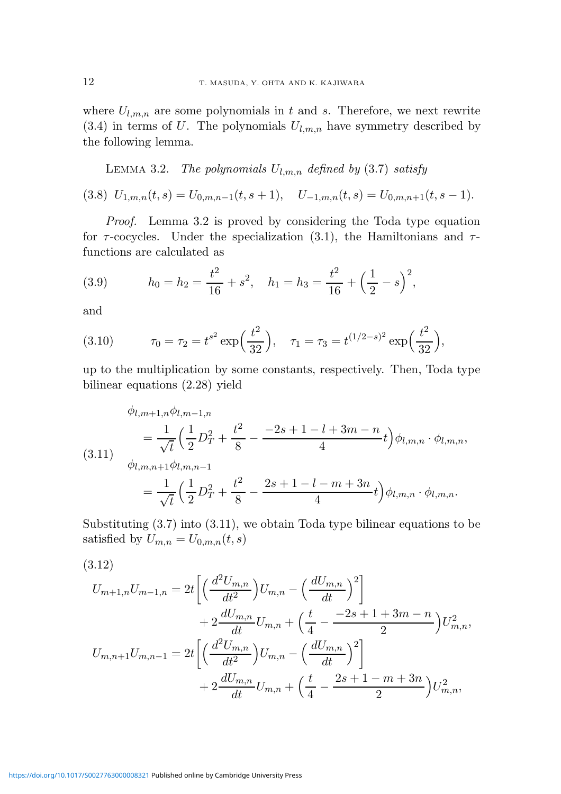where  $U_{l,m,n}$  are some polynomials in t and s. Therefore, we next rewrite  $(3.4)$  in terms of U. The polynomials  $U_{l,m,n}$  have symmetry described by the following lemma.

LEMMA 3.2. The polynomials  $U_{l,m,n}$  defined by (3.7) satisfy

(3.8)  $U_{1,m,n}(t,s) = U_{0,m,n-1}(t,s+1), \quad U_{-1,m,n}(t,s) = U_{0,m,n+1}(t,s-1).$ 

Proof. Lemma 3.2 is proved by considering the Toda type equation for  $\tau$ -cocycles. Under the specialization (3.1), the Hamiltonians and  $\tau$ functions are calculated as

(3.9) 
$$
h_0 = h_2 = \frac{t^2}{16} + s^2, \quad h_1 = h_3 = \frac{t^2}{16} + \left(\frac{1}{2} - s\right)^2,
$$

and

(3.10) 
$$
\tau_0 = \tau_2 = t^{s^2} \exp\left(\frac{t^2}{32}\right), \quad \tau_1 = \tau_3 = t^{(1/2-s)^2} \exp\left(\frac{t^2}{32}\right),
$$

up to the multiplication by some constants, respectively. Then, Toda type bilinear equations (2.28) yield

$$
\phi_{l,m+1,n}\phi_{l,m-1,n}
$$
\n
$$
= \frac{1}{\sqrt{t}} \left(\frac{1}{2}D_T^2 + \frac{t^2}{8} - \frac{-2s + 1 - l + 3m - n}{4}t\right)\phi_{l,m,n} \cdot \phi_{l,m,n},
$$
\n
$$
\phi_{l,m,n+1}\phi_{l,m,n-1}
$$
\n
$$
= \frac{1}{\sqrt{t}} \left(\frac{1}{2}D_T^2 + \frac{t^2}{8} - \frac{2s + 1 - l - m + 3n}{4}t\right)\phi_{l,m,n} \cdot \phi_{l,m,n}.
$$

Substituting (3.7) into (3.11), we obtain Toda type bilinear equations to be satisfied by  $U_{m,n} = U_{0,m,n}(t,s)$ 

$$
(3.12)
$$

$$
U_{m+1,n}U_{m-1,n} = 2t \left[ \left( \frac{d^2 U_{m,n}}{dt^2} \right) U_{m,n} - \left( \frac{d U_{m,n}}{dt} \right)^2 \right] + 2 \frac{d U_{m,n}}{dt} U_{m,n} + \left( \frac{t}{4} - \frac{-2s + 1 + 3m - n}{2} \right) U_{m,n}^2,
$$
  

$$
U_{m,n+1}U_{m,n-1} = 2t \left[ \left( \frac{d^2 U_{m,n}}{dt^2} \right) U_{m,n} - \left( \frac{d U_{m,n}}{dt} \right)^2 \right] + 2 \frac{d U_{m,n}}{dt} U_{m,n} + \left( \frac{t}{4} - \frac{2s + 1 - m + 3n}{2} \right) U_{m,n}^2,
$$

<https://doi.org/10.1017/S0027763000008321>Published online by Cambridge University Press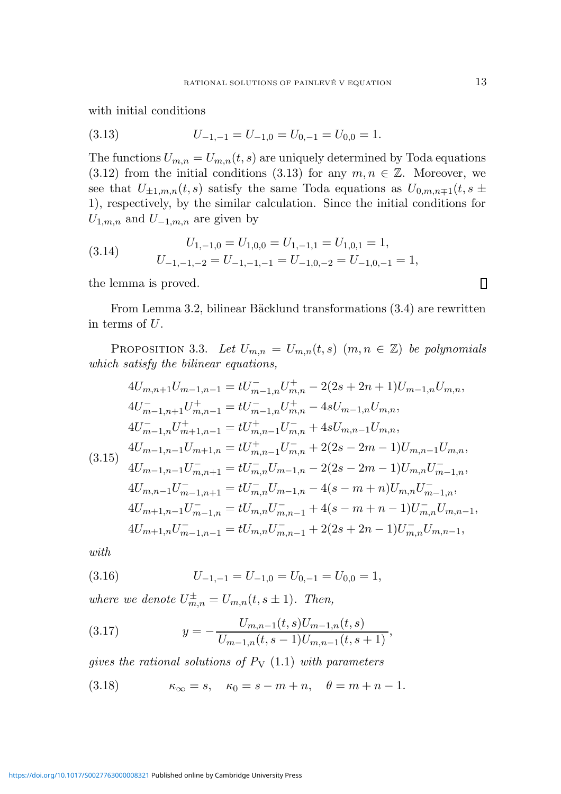with initial conditions

$$
(3.13) \t\t\t U_{-1,-1} = U_{-1,0} = U_{0,-1} = U_{0,0} = 1.
$$

The functions  $U_{m,n} = U_{m,n}(t,s)$  are uniquely determined by Toda equations (3.12) from the initial conditions (3.13) for any  $m, n \in \mathbb{Z}$ . Moreover, we see that  $U_{\pm 1,m,n}(t,s)$  satisfy the same Toda equations as  $U_{0,m,n+1}(t,s)$ 1), respectively, by the similar calculation. Since the initial conditions for  $U_{1,m,n}$  and  $U_{-1,m,n}$  are given by

(3.14) 
$$
U_{1,-1,0} = U_{1,0,0} = U_{1,-1,1} = U_{1,0,1} = 1,
$$

$$
U_{-1,-1,-2} = U_{-1,-1,-1} = U_{-1,0,-2} = U_{-1,0,-1} = 1,
$$

the lemma is proved.

From Lemma 3.2, bilinear Bäcklund transformations (3.4) are rewritten in terms of U.

PROPOSITION 3.3. Let  $U_{m,n} = U_{m,n}(t,s)$   $(m, n \in \mathbb{Z})$  be polynomials which satisfy the bilinear equations,

$$
4U_{m,n+1}U_{m-1,n-1} = tU_{m-1,n}^{-}U_{m,n}^{+} - 2(2s + 2n + 1)U_{m-1,n}U_{m,n},
$$
  
\n
$$
4U_{m-1,n+1}^{-}U_{m,n-1}^{+} = tU_{m-1,n}^{-}U_{m,n}^{+} - 4sU_{m-1,n}U_{m,n},
$$
  
\n
$$
4U_{m-1,n}^{-}U_{m+1,n-1}^{+} = tU_{m,n-1}^{+}U_{m,n}^{-} + 4sU_{m,n-1}U_{m,n},
$$
  
\n
$$
4U_{m-1,n-1}U_{m+1,n} = tU_{m,n-1}^{+}U_{m,n}^{-} + 2(2s - 2m - 1)U_{m,n-1}U_{m,n},
$$
  
\n
$$
4U_{m-1,n-1}U_{m,n+1}^{-} = tU_{m,n}^{-}U_{m-1,n} - 2(2s - 2m - 1)U_{m,n}U_{m-1,n}^{-} ,
$$
  
\n
$$
4U_{m,n-1}U_{m-1,n+1}^{-} = tU_{m,n}^{-}U_{m-1,n} - 4(s - m + n)U_{m,n}U_{m-1,n}^{-} ,
$$
  
\n
$$
4U_{m+1,n-1}U_{m-1,n}^{-} = tU_{m,n}U_{m,n-1}^{-} + 4(s - m + n - 1)U_{m,n}^{-}U_{m,n-1},
$$
  
\n
$$
4U_{m+1,n}U_{m-1,n-1}^{-} = tU_{m,n}U_{m,n-1}^{-} + 2(2s + 2n - 1)U_{m,n}^{-}U_{m,n-1},
$$

with

(3.16) 
$$
U_{-1,-1} = U_{-1,0} = U_{0,-1} = U_{0,0} = 1,
$$

where we denote  $U_{m,n}^{\pm} = U_{m,n}(t, s \pm 1)$ . Then,

(3.17) 
$$
y = -\frac{U_{m,n-1}(t,s)U_{m-1,n}(t,s)}{U_{m-1,n}(t,s-1)U_{m,n-1}(t,s+1)},
$$

gives the rational solutions of  $P_V$  (1.1) with parameters

(3.18) 
$$
\kappa_{\infty} = s, \quad \kappa_0 = s - m + n, \quad \theta = m + n - 1.
$$

 $\Box$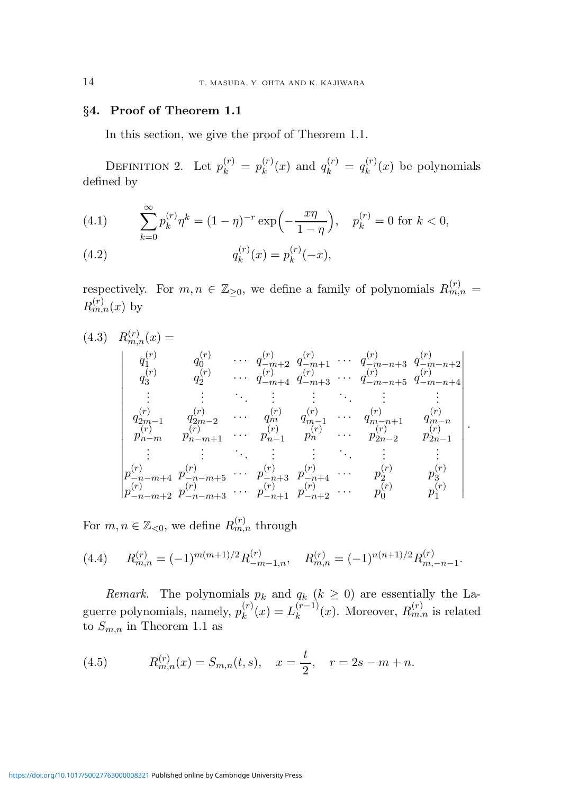### §4. Proof of Theorem 1.1

In this section, we give the proof of Theorem 1.1.

DEFINITION 2. Let  $p_k^{(r)} = p_k^{(r)}$  $\binom{r}{k}(x)$  and  $q_k^{(r)} = q_k^{(r)}$  $k^{(r)}(x)$  be polynomials defined by

(4.1) 
$$
\sum_{k=0}^{\infty} p_k^{(r)} \eta^k = (1 - \eta)^{-r} \exp\left(-\frac{x\eta}{1 - \eta}\right), \quad p_k^{(r)} = 0 \text{ for } k < 0,
$$

(4.2) 
$$
q_k^{(r)}(x) = p_k^{(r)}(-x),
$$

respectively. For  $m, n \in \mathbb{Z}_{\geq 0}$ , we define a family of polynomials  $R_{m,n}^{(r)} =$  $R_{m,n}^{(r)}(x)$  by

$$
(4.3) \quad R_{m,n}^{(r)}(x) =
$$
\n
$$
\begin{vmatrix}\n q_1^{(r)} & q_0^{(r)} & \cdots & q_{-m+2}^{(r)} & q_{-m+1}^{(r)} & \cdots & q_{-m-n+3}^{(r)} & q_{-m-n+2}^{(r)} \\
 q_3^{(r)} & q_2^{(r)} & \cdots & q_{-m+4}^{(r)} & q_{-m+3}^{(r)} & \cdots & q_{-m-n+5}^{(r)} & q_{-m-n+4}^{(r)} \\
\vdots & \vdots & \ddots & \vdots & \vdots & \ddots & \vdots & \vdots \\
 q_{2m-1}^{(r)} & q_{2m-2}^{(r)} & \cdots & q_m^{(r)} & q_{m-1}^{(r)} & \cdots & q_{m-n+1}^{(r)} & q_{m-n}^{(r)} \\
 p_{n-m}^{(r)} & p_{n-m+1}^{(r)} & \cdots & p_{n-1}^{(r)} & p_n^{(r)} & \cdots & p_{2n-2}^{(r)} & p_{2n-1}^{(r)} \\
\vdots & \vdots & \vdots & \vdots & \vdots & \vdots & \vdots \\
 p_{-n-m+4}^{(r)} & p_{-n-m+5}^{(r)} & \cdots & p_{-n+3}^{(r)} & p_{-n+4}^{(r)} & \cdots & p_{2n}^{(r)} & p_{3}^{(r)} \\
 p_{-n-m+2}^{(r)} & p_{-n-m+3}^{(r)} & \cdots & p_{-n+1}^{(r)} & p_{-n+2}^{(r)} & \cdots & p_{0}^{(r)} & p_{1}^{(r)}\n\end{vmatrix}
$$

.

For  $m, n \in \mathbb{Z}_{< 0}$ , we define  $R_{m,n}^{(r)}$  through

$$
(4.4) \qquad R_{m,n}^{(r)} = (-1)^{m(m+1)/2} R_{-m-1,n}^{(r)}, \qquad R_{m,n}^{(r)} = (-1)^{n(n+1)/2} R_{m,-n-1}^{(r)}.
$$

Remark. The polynomials  $p_k$  and  $q_k$   $(k \geq 0)$  are essentially the Laguerre polynomials, namely,  $p_k^{(r)}$  $k^{(r)}(x) = L_k^{(r-1)}$  $k^{(r-1)}(x)$ . Moreover,  $R_{m,n}^{(r)}$  is related to  $S_{m,n}$  in Theorem 1.1 as

(4.5) 
$$
R_{m,n}^{(r)}(x) = S_{m,n}(t,s), \quad x = \frac{t}{2}, \quad r = 2s - m + n.
$$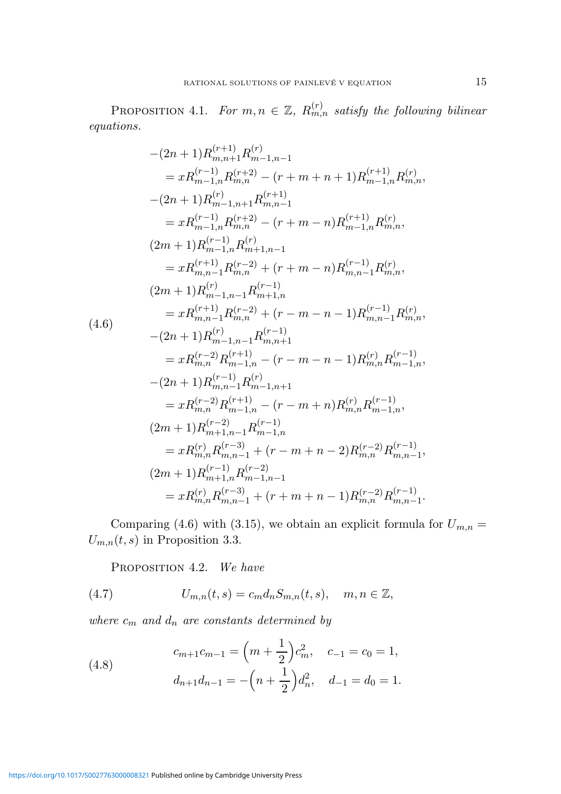PROPOSITION 4.1. For  $m, n \in \mathbb{Z}$ ,  $R_{m,n}^{(r)}$  satisfy the following bilinear equations.

$$
-(2n+1)R_{m,n+1}^{(r+1)}R_{m-1,n-1}^{(r)}= xR_{m-1,n}^{(r-1)}R_{m,n}^{(r+2)} - (r+m+n+1)R_{m-1,n}^{(r+1)}R_{m,n}^{(r)},-(2n+1)R_{m-1,n+1}^{(r)}R_{m,n-1}^{(r+1)}= xR_{m-1,n}^{(r-1)}R_{m,n}^{(r+2)} - (r+m-n)R_{m-1,n}^{(r+1)}R_{m,n}^{(r)},(2m+1)R_{m-1,n}^{(r-1)}R_{m+1,n-1}^{(r)}= xR_{m,n-1}^{(r+1)}R_{m,n}^{(r-2)} + (r+m-n)R_{m,n-1}^{(r-1)}R_{m,n}^{(r)},(2m+1)R_{m-1,n-1}^{(r)}R_{m,n+1}^{(r-1)}= xR_{m,n-1}^{(r+1)}R_{m,n}^{(r-2)} + (r-m-n-1)R_{m,n-1}^{(r-1)}R_{m,n}^{(r)},-(2n+1)R_{m-1,n-1}^{(r)}R_{m,n+1}^{(r-1)}
$$
  
(4.6)  

$$
-(2n+1)R_{m-1,n-1}^{(r)}R_{m,n+1}^{(r-1)}
$$
  

$$
= xR_{m,n}^{(r-2)}R_{m-1,n}^{(r+1)} - (r-m-n-1)R_{m,n}^{(r)}R_{m-1,n}^{(r-1)},-(2n+1)R_{m,n-1}^{(r-1)}R_{m-1,n+1}^{(r)}= xR_{m,n}^{(r-2)}R_{m-1,n}^{(r+1)} - (r-m+n)R_{m,n}^{(r)}R_{m-1,n}^{(r-1)},(2m+1)R_{m+1,n-1}^{(r-2)}R_{m-1,n}^{(r-1)}
$$
  

$$
= xR_{m,n}^{(r)}R_{m,n-1}^{(r-3)} + (r-m+n-2)R_{m,n}^{(r-2)}R_{m,n-1}^{(r-1)},(2m+1)R_{m+1,n}^{(r-3)}R_{m-1,n-1}^{(r-2)}
$$
  

$$
= xR_{m,n}^{(r)}R
$$

Comparing (4.6) with (3.15), we obtain an explicit formula for  $U_{m,n} =$  $U_{m,n}(t, s)$  in Proposition 3.3.

PROPOSITION 4.2. We have

(4.7) 
$$
U_{m,n}(t,s) = c_m d_n S_{m,n}(t,s), \quad m, n \in \mathbb{Z},
$$

where  $c_m$  and  $d_n$  are constants determined by

(4.8) 
$$
c_{m+1}c_{m-1} = \left(m + \frac{1}{2}\right)c_m^2, \quad c_{-1} = c_0 = 1,
$$

$$
d_{n+1}d_{n-1} = -\left(n + \frac{1}{2}\right)d_n^2, \quad d_{-1} = d_0 = 1.
$$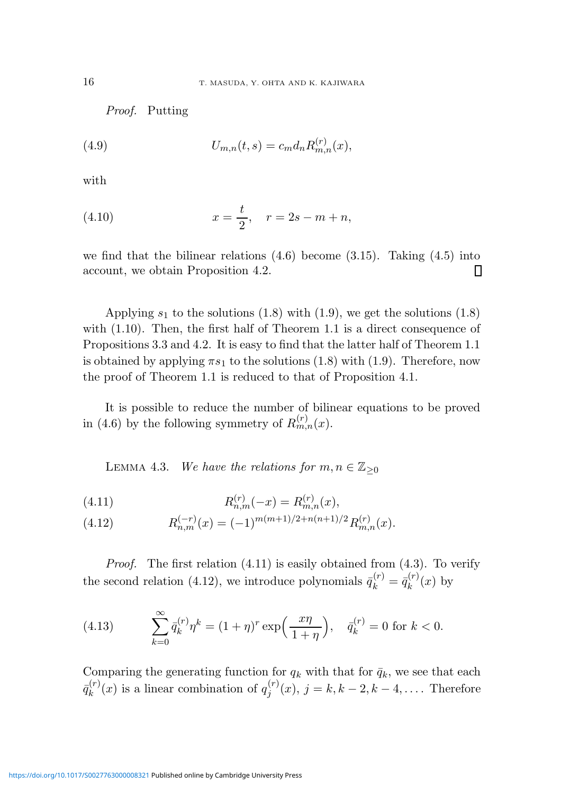Proof. Putting

(4.9) 
$$
U_{m,n}(t,s) = c_m d_n R_{m,n}^{(r)}(x),
$$

with

(4.10) 
$$
x = \frac{t}{2}, \quad r = 2s - m + n,
$$

we find that the bilinear relations  $(4.6)$  become  $(3.15)$ . Taking  $(4.5)$  into account, we obtain Proposition 4.2.  $\Box$ 

Applying  $s_1$  to the solutions (1.8) with (1.9), we get the solutions (1.8) with  $(1.10)$ . Then, the first half of Theorem 1.1 is a direct consequence of Propositions 3.3 and 4.2. It is easy to find that the latter half of Theorem 1.1 is obtained by applying  $\pi s_1$  to the solutions (1.8) with (1.9). Therefore, now the proof of Theorem 1.1 is reduced to that of Proposition 4.1.

It is possible to reduce the number of bilinear equations to be proved in (4.6) by the following symmetry of  $R_{m,n}^{(r)}(x)$ .

LEMMA 4.3. We have the relations for  $m, n \in \mathbb{Z}_{\geq 0}$ 

(4.11) 
$$
R_{n,m}^{(r)}(-x) = R_{m,n}^{(r)}(x),
$$

(4.12) 
$$
R_{n,m}^{(-r)}(x) = (-1)^{m(m+1)/2 + n(n+1)/2} R_{m,n}^{(r)}(x).
$$

*Proof.* The first relation  $(4.11)$  is easily obtained from  $(4.3)$ . To verify the second relation (4.12), we introduce polynomials  $\bar{q}_k^{(r)} = \bar{q}_k^{(r)}$  $\int_k^{(r)}(x)$  by

(4.13) 
$$
\sum_{k=0}^{\infty} \bar{q}_k^{(r)} \eta^k = (1+\eta)^r \exp\left(\frac{x\eta}{1+\eta}\right), \quad \bar{q}_k^{(r)} = 0 \text{ for } k < 0.
$$

Comparing the generating function for  $q_k$  with that for  $\bar{q}_k$ , we see that each  $\bar q^{(r)}_k$  $k_k^{(r)}(x)$  is a linear combination of  $q_j^{(r)}$  $j^{(r)}(x), j = k, k - 2, k - 4, \dots$  Therefore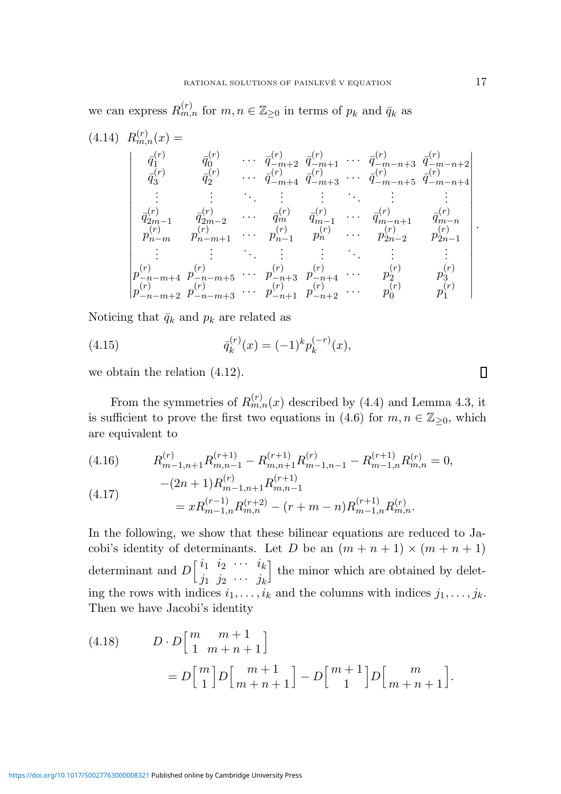we can express  $R_{m,n}^{(r)}$  for  $m, n \in \mathbb{Z}_{\geq 0}$  in terms of  $p_k$  and  $\bar{q}_k$  as

$$
(4.14) \ R_{m,n}^{(r)}(x) = \n\begin{vmatrix}\n\bar{q}_1^{(r)} & \bar{q}_0^{(r)} & \cdots & \bar{q}_{-m+2}^{(r)} & \bar{q}_{-m+1}^{(r)} & \cdots & \bar{q}_{-m-n+3}^{(r)} & \bar{q}_{-m-n+2}^{(r)} \\
\bar{q}_3^{(r)} & \bar{q}_2^{(r)} & \cdots & \bar{q}_{-m+4}^{(r)} & \bar{q}_{-m+3}^{(r)} & \cdots & \bar{q}_{-m-n+5}^{(r)} & \bar{q}_{-m-n+4}^{(r)} \\
\vdots & \vdots & \ddots & \vdots & \vdots & \ddots & \vdots & \vdots \\
\bar{q}_{2m-1}^{(r)} & \bar{q}_{2m-2}^{(r)} & \cdots & \bar{q}_m^{(r)} & \bar{q}_{m-1}^{(r)} & \cdots & \bar{q}_{m-n+1}^{(r)} & \bar{q}_{m-n}^{(r)} \\
p_{n-m}^{(r)} & p_{n-m+1}^{(r)} & \cdots & p_{n-1}^{(r)} & p_n^{(r)} & \cdots & p_{2n-2}^{(r)} & p_{2n-1}^{(r)} \\
\vdots & \vdots & \vdots & \vdots & \vdots & \vdots & \vdots & \vdots \\
p_{-n-m+4}^{(r)} & p_{-n-m+5}^{(r)} & \cdots & p_{-n+3}^{(r)} & p_{-n+4}^{(r)} & \cdots & p_2^{(r)} & p_3^{(r)} \\
p_{-n-m+2}^{(r)} & p_{-n-m+3}^{(r)} & \cdots & p_{-n+1}^{(r)} & p_{-n+2}^{(r)} & \cdots & p_0^{(r)} & p_1^{(r)}\n\end{vmatrix}.
$$

Noticing that  $\bar{q}_k$  and  $p_k$  are related as

(4.15) 
$$
\bar{q}_k^{(r)}(x) = (-1)^k p_k^{(-r)}(x),
$$

we obtain the relation (4.12).

From the symmetries of  $R_{m,n}^{(r)}(x)$  described by (4.4) and Lemma 4.3, it is sufficient to prove the first two equations in (4.6) for  $m, n \in \mathbb{Z}_{\geq 0}$ , which are equivalent to

(4.16) 
$$
R_{m-1,n+1}^{(r)}R_{m,n-1}^{(r+1)} - R_{m,n+1}^{(r+1)}R_{m-1,n-1}^{(r)} - R_{m-1,n}^{(r+1)}R_{m,n}^{(r)} = 0,
$$

(4.17) 
$$
-(2n+1)R_{m-1,n+1}^{(r)}R_{m,n-1}^{(r+1)} = xR_{m-1,n}^{(r-1)}R_{m,n}^{(r+2)} - (r+m-n)R_{m-1,n}^{(r+1)}R_{m,n}^{(r)}.
$$

In the following, we show that these bilinear equations are reduced to Jacobi's identity of determinants. Let D be an  $(m + n + 1) \times (m + n + 1)$ determinant and  $D\begin{bmatrix} i_1 & i_2 & \cdots & i_k \end{bmatrix}$  $j_1$   $j_2$   $\cdots$   $j_k$ I the minor which are obtained by deleting the rows with indices  $i_1, \ldots, i_k$  and the columns with indices  $j_1, \ldots, j_k$ . Then we have Jacobi's identity

(4.18) 
$$
D \cdot D \begin{bmatrix} m & m+1 \\ 1 & m+n+1 \end{bmatrix}
$$

$$
= D \begin{bmatrix} m \\ 1 \end{bmatrix} D \begin{bmatrix} m+1 \\ m+n+1 \end{bmatrix} - D \begin{bmatrix} m+1 \\ 1 \end{bmatrix} D \begin{bmatrix} m \\ m+n+1 \end{bmatrix}.
$$

 $\Box$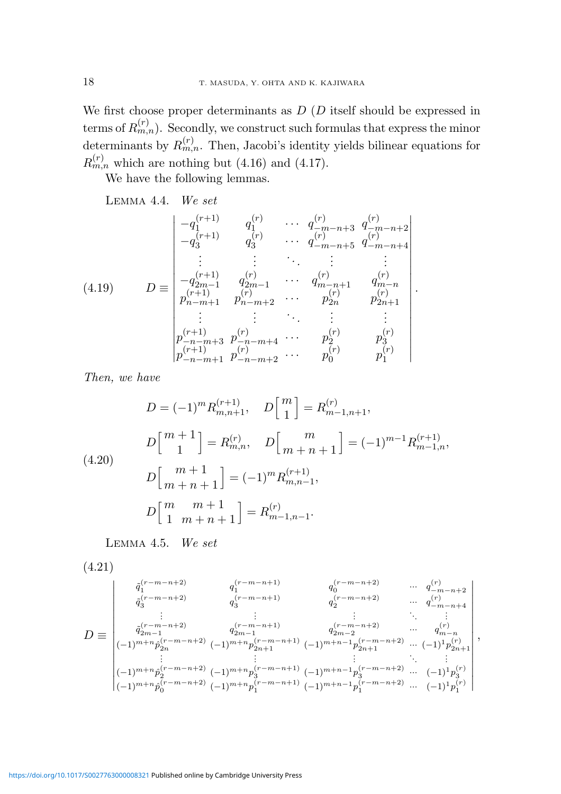We first choose proper determinants as  $D(D)$  itself should be expressed in terms of  $R_{m,n}^{(r)}$ ). Secondly, we construct such formulas that express the minor determinants by  $R_{m,n}^{(r)}$ . Then, Jacobi's identity yields bilinear equations for  $R_{m,n}^{(r)}$  which are nothing but (4.16) and (4.17).

We have the following lemmas.

$$
(4.19) \tD \equiv \begin{vmatrix}\n-q_1^{(r+1)} & q_1^{(r)} & \cdots & q_{-m-n+3}^{(r)} & q_{-m-n+2}^{(r)} \\
-q_3^{(r+1)} & q_3^{(r)} & \cdots & q_{-m-n+5}^{(r)} & q_{-m-n+4}^{(r)} \\
\vdots & \vdots & \ddots & \vdots & \vdots \\
-q_{2m-1}^{(r+1)} & q_{2m-1}^{(r)} & \cdots & q_{m-n+1}^{(r)} & q_{m-n}^{(r)} \\
p_{n-m+1}^{(r+1)} & p_{n-m+2}^{(r)} & \cdots & p_{2n}^{(r)} & p_{2n+1}^{(r)} \\
\vdots & \vdots & \ddots & \vdots & \vdots & \vdots \\
p_{-n-m+3}^{(r+1)} & p_{-n-m+4}^{(r)} & \cdots & p_2^{(r)} & p_3^{(r)} \\
p_{-n-m+1}^{(r+1)} & p_{-n-m+2}^{(r)} & \cdots & p_0^{(r)} & p_1^{(r)}\n\end{vmatrix}.
$$

Then, we have

$$
D = (-1)^m R_{m,n+1}^{(r+1)}, \quad D\begin{bmatrix} m \\ 1 \end{bmatrix} = R_{m-1,n+1}^{(r)},
$$

$$
D\begin{bmatrix} m+1 \\ 1 \end{bmatrix} = R_{m,n}^{(r)}, \quad D\begin{bmatrix} m \\ m+n+1 \end{bmatrix} = (-1)^{m-1} R_{m-1,n}^{(r+1)},
$$

$$
D\begin{bmatrix} m+1 \\ m+n+1 \end{bmatrix} = (-1)^m R_{m,n-1}^{(r+1)},
$$

$$
D\begin{bmatrix} m & m+1 \\ 1 & m+n+1 \end{bmatrix} = R_{m-1,n-1}^{(r)}.
$$

Lemma 4.5. We set

$$
(4.21)
$$

$$
D \equiv \begin{vmatrix} \tilde{q}_1^{(r-m-n+2)} & q_1^{(r-m-n+1)} & q_0^{(r-m-n+2)} & \cdots & q_{-m-n+2}^{(r)} \\ \tilde{q}_3^{(r-m-n+2)} & q_3^{(r-m-n+1)} & q_2^{(r-m-n+2)} & \cdots & q_{-m-n+4}^{(r)} \\ \vdots & \vdots & \vdots & \ddots & \vdots \\ \tilde{q}_{2m-1}^{(r-m-n+2)} & q_{2m-1}^{(r-m-n+1)} & q_{2m-2}^{(r-m-n+2)} & \cdots & q_{m-n}^{(r)} \\ (-1)^{m+n} \hat{p}_{2n}^{(r-m-n+2)} & (-1)^{m+n} p_{2n+1}^{(r-m-n+1)} & (-1)^{m+n-1} p_{2n+1}^{(r-m-n+2)} & \cdots & (-1)^1 p_{2n+1}^{(r)} \\ (-1)^{m+n} \hat{p}_2^{(r-m-n+2)} & (-1)^{m+n} p_3^{(r-m-n+1)} & (-1)^{m+n-1} p_3^{(r-m-n+2)} & \cdots & (-1)^1 p_3^{(r)} \\ (-1)^{m+n} \hat{p}_0^{(r-m-n+2)} & (-1)^{m+n} p_1^{(r-m-n+1)} & (-1)^{m+n-1} p_1^{(r-m-n+2)} & \cdots & (-1)^1 p_1^{(r)} \end{vmatrix},
$$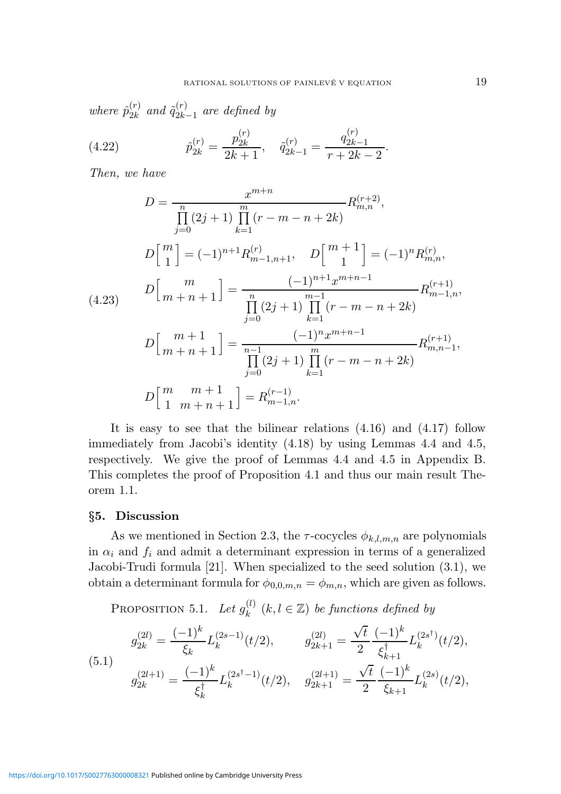where  $\hat{p}_{2k}^{(r)}$  $_{2k}^{\left( r\right) }$  and  $\tilde{q}_{2k}^{\left( r\right) }$  $\frac{1}{2k-1}$  are defined by

(4.22) 
$$
\hat{p}_{2k}^{(r)} = \frac{p_{2k}^{(r)}}{2k+1}, \quad \tilde{q}_{2k-1}^{(r)} = \frac{q_{2k-1}^{(r)}}{r+2k-2}.
$$

Then, we have

$$
D = \frac{x^{m+n}}{\prod_{j=0}^{m} (2j+1) \prod_{k=1}^{m} (r-m-n+2k)} R_{m,n}^{(r+2)},
$$
  
\n
$$
D\left[\begin{matrix} m\\1 \end{matrix}\right] = (-1)^{n+1} R_{m-1,n+1}^{(r)}, \quad D\left[\begin{matrix} m+1\\1 \end{matrix}\right] = (-1)^{n} R_{m,n}^{(r)},
$$
  
\n
$$
D\left[\begin{matrix} m\\m+n+1 \end{matrix}\right] = \frac{(-1)^{n+1} x^{m+n-1}}{\prod_{j=0}^{n} (2j+1) \prod_{k=1}^{m-1} (r-m-n+2k)} R_{m-1,n}^{(r+1)},
$$
  
\n
$$
D\left[\begin{matrix} m+1\\m+n+1 \end{matrix}\right] = \frac{(-1)^{n} x^{m+n-1}}{\prod_{j=0}^{n-1} (2j+1) \prod_{k=1}^{m} (r-m-n+2k)} R_{m,n-1}^{(r+1)},
$$
  
\n
$$
D\left[\begin{matrix} m & m+1\\1 & m+n+1 \end{matrix}\right] = R_{m-1,n}^{(r-1)}.
$$

It is easy to see that the bilinear relations (4.16) and (4.17) follow immediately from Jacobi's identity (4.18) by using Lemmas 4.4 and 4.5, respectively. We give the proof of Lemmas 4.4 and 4.5 in Appendix B. This completes the proof of Proposition 4.1 and thus our main result Theorem 1.1.

#### §5. Discussion

As we mentioned in Section 2.3, the  $\tau$ -cocycles  $\phi_{k,l,m,n}$  are polynomials in  $\alpha_i$  and  $f_i$  and admit a determinant expression in terms of a generalized Jacobi-Trudi formula [21]. When specialized to the seed solution (3.1), we obtain a determinant formula for  $\phi_{0,0,m,n} = \phi_{m,n}$ , which are given as follows.

PROPOSITION 5.1. Let  $g_k^{(l)}$  $\binom{l}{k}$   $(k, l \in \mathbb{Z})$  be functions defined by

(5.1) 
$$
g_{2k}^{(2l)} = \frac{(-1)^k}{\xi_k} L_k^{(2s-1)}(t/2), \qquad g_{2k+1}^{(2l)} = \frac{\sqrt{t}}{2} \frac{(-1)^k}{\xi_{k+1}^{\dagger}} L_k^{(2s^{\dagger})}(t/2),
$$

$$
g_{2k}^{(2l+1)} = \frac{(-1)^k}{\xi_k^{\dagger}} L_k^{(2s^{\dagger}-1)}(t/2), \qquad g_{2k+1}^{(2l+1)} = \frac{\sqrt{t}}{2} \frac{(-1)^k}{\xi_{k+1}} L_k^{(2s)}(t/2),
$$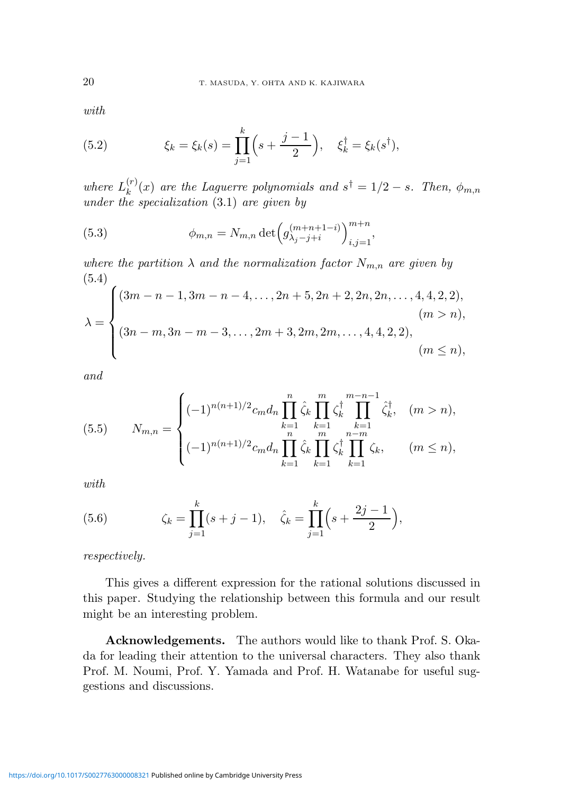with

(5.2) 
$$
\xi_k = \xi_k(s) = \prod_{j=1}^k \left(s + \frac{j-1}{2}\right), \quad \xi_k^{\dagger} = \xi_k(s^{\dagger}),
$$

where  $L_k^{(r)}$  $\binom{r}{k}(x)$  are the Laguerre polynomials and  $s^{\dagger} = 1/2 - s$ . Then,  $\phi_{m,n}$ under the specialization (3.1) are given by

(5.3) 
$$
\phi_{m,n} = N_{m,n} \det \left( g_{\lambda_j - j + i}^{(m+n+1-i)} \right)_{i,j=1}^{m+n},
$$

where the partition  $\lambda$  and the normalization factor  $N_{m,n}$  are given by (5.4)

$$
\lambda = \begin{cases}\n(3m - n - 1, 3m - n - 4, \dots, 2n + 5, 2n + 2, 2n, 2n, \dots, 4, 4, 2, 2), & (m > n), \\
(3n - m, 3n - m - 3, \dots, 2m + 3, 2m, 2m, \dots, 4, 4, 2, 2), & (m \le n),\n\end{cases}
$$

and

(5.5) 
$$
N_{m,n} = \begin{cases} (-1)^{n(n+1)/2} c_m d_n \prod_{k=1}^n \hat{\zeta}_k \prod_{k=1}^m \zeta_k^{\dagger} \prod_{k=1}^{m-n-1} \hat{\zeta}_k^{\dagger}, & (m > n), \\ (-1)^{n(n+1)/2} c_m d_n \prod_{k=1}^n \hat{\zeta}_k \prod_{k=1}^m \zeta_k^{\dagger} \prod_{k=1}^{n-m} \zeta_k, & (m \le n), \end{cases}
$$

with

(5.6) 
$$
\zeta_k = \prod_{j=1}^k (s+j-1), \quad \hat{\zeta}_k = \prod_{j=1}^k \left(s + \frac{2j-1}{2}\right),
$$

respectively.

This gives a different expression for the rational solutions discussed in this paper. Studying the relationship between this formula and our result might be an interesting problem.

Acknowledgements. The authors would like to thank Prof. S. Okada for leading their attention to the universal characters. They also thank Prof. M. Noumi, Prof. Y. Yamada and Prof. H. Watanabe for useful suggestions and discussions.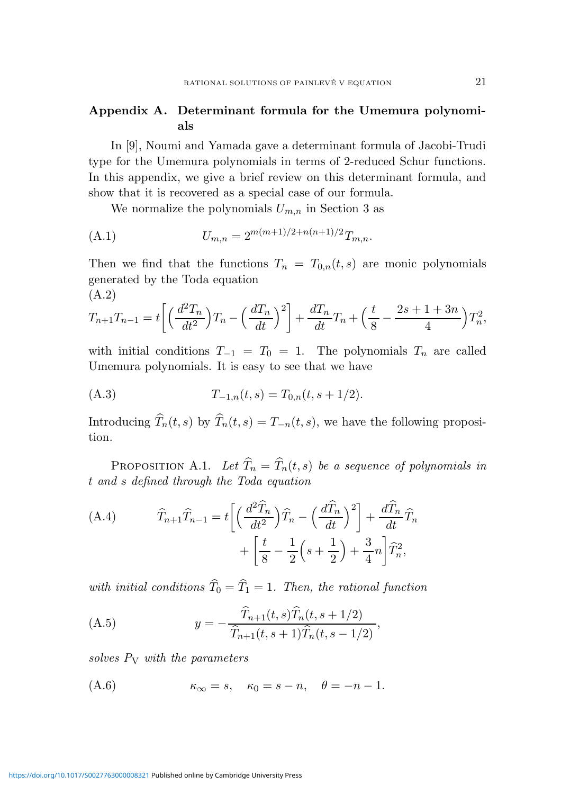## Appendix A. Determinant formula for the Umemura polynomials

In [9], Noumi and Yamada gave a determinant formula of Jacobi-Trudi type for the Umemura polynomials in terms of 2-reduced Schur functions. In this appendix, we give a brief review on this determinant formula, and show that it is recovered as a special case of our formula.

We normalize the polynomials  $U_{m,n}$  in Section 3 as

(A.1) 
$$
U_{m,n} = 2^{m(m+1)/2 + n(n+1)/2} T_{m,n}.
$$

Then we find that the functions  $T_n = T_{0,n}(t,s)$  are monic polynomials generated by the Toda equation (A.2)

$$
T_{n+1}T_{n-1} = t \left[ \left( \frac{d^2 T_n}{dt^2} \right) T_n - \left( \frac{d T_n}{dt} \right)^2 \right] + \frac{d T_n}{dt} T_n + \left( \frac{t}{8} - \frac{2s + 1 + 3n}{4} \right) T_n^2,
$$

with initial conditions  $T_{-1} = T_0 = 1$ . The polynomials  $T_n$  are called Umemura polynomials. It is easy to see that we have

(A.3) 
$$
T_{-1,n}(t,s) = T_{0,n}(t,s+1/2).
$$

Introducing  $\widehat{T}_n(t, s)$  by  $\widehat{T}_n(t, s) = T_{-n}(t, s)$ , we have the following proposition.

PROPOSITION A.1. Let  $\widehat{T}_n = \widehat{T}_n(t, s)$  be a sequence of polynomials in t and s defined through the Toda equation

(A.4) 
$$
\widehat{T}_{n+1}\widehat{T}_{n-1} = t \left[ \left( \frac{d^2 \widehat{T}_n}{dt^2} \right) \widehat{T}_n - \left( \frac{d \widehat{T}_n}{dt} \right)^2 \right] + \frac{d \widehat{T}_n}{dt} \widehat{T}_n + \left[ \frac{t}{8} - \frac{1}{2} \left( s + \frac{1}{2} \right) + \frac{3}{4} n \right] \widehat{T}_n^2,
$$

with initial conditions  $\widehat{T}_0 = \widehat{T}_1 = 1$ . Then, the rational function

(A.5) 
$$
y = -\frac{\widehat{T}_{n+1}(t,s)\widehat{T}_n(t,s+1/2)}{\widehat{T}_{n+1}(t,s+1)\widehat{T}_n(t,s-1/2)},
$$

solves  $P_V$  with the parameters

$$
(A.6) \qquad \qquad \kappa_{\infty} = s, \quad \kappa_0 = s - n, \quad \theta = -n - 1.
$$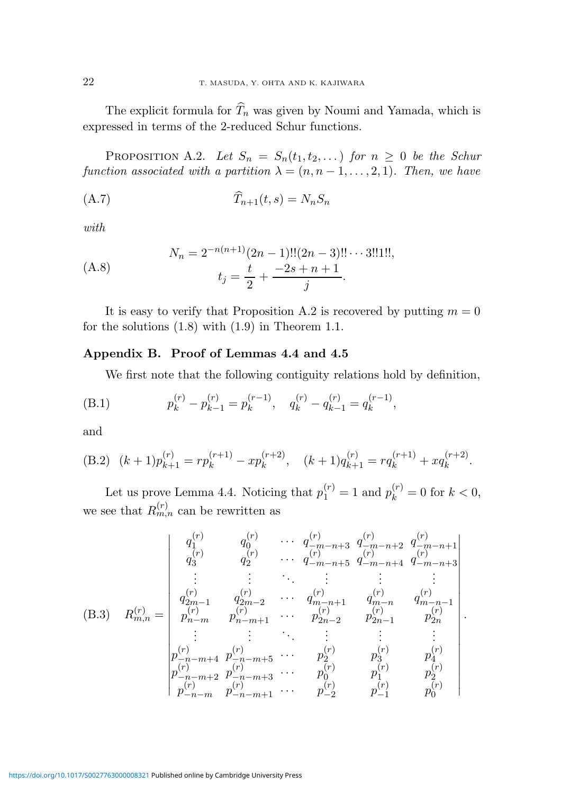The explicit formula for  $\widehat{T}_n$  was given by Noumi and Yamada, which is expressed in terms of the 2-reduced Schur functions.

PROPOSITION A.2. Let  $S_n = S_n(t_1, t_2, ...)$  for  $n \geq 0$  be the Schur function associated with a partition  $\lambda = (n, n-1, \ldots, 2, 1)$ . Then, we have

$$
\widehat{T}_{n+1}(t,s) = N_n S_n
$$

with

(A.8) 
$$
N_n = 2^{-n(n+1)}(2n-1)!!(2n-3)!!\cdots 3!!1!!,
$$

$$
t_j = \frac{t}{2} + \frac{-2s+n+1}{j}.
$$

It is easy to verify that Proposition A.2 is recovered by putting  $m = 0$ for the solutions (1.8) with (1.9) in Theorem 1.1.

### Appendix B. Proof of Lemmas 4.4 and 4.5

We first note that the following contiguity relations hold by definition,

(B.1) 
$$
p_k^{(r)} - p_{k-1}^{(r)} = p_k^{(r-1)}, \quad q_k^{(r)} - q_{k-1}^{(r)} = q_k^{(r-1)},
$$

and

(B.2) 
$$
(k+1)p_{k+1}^{(r)} = rp_k^{(r+1)} - xp_k^{(r+2)}
$$
,  $(k+1)q_{k+1}^{(r)} = rq_k^{(r+1)} + xq_k^{(r+2)}$ .

Let us prove Lemma 4.4. Noticing that  $p_1^{(r)} = 1$  and  $p_k^{(r)} = 0$  for  $k < 0$ , we see that  $R_{m,n}^{(r)}$  can be rewritten as

$$
(B.3) \quad R_{m,n}^{(r)} = \begin{vmatrix} q_1^{(r)} & q_0^{(r)} & \cdots & q_{-m-n+3}^{(r)} & q_{-m-n+2}^{(r)} & q_{-m-n+1}^{(r)} \\ q_3^{(r)} & q_2^{(r)} & \cdots & q_{-m-n+5}^{(r)} & q_{-m-n+4}^{(r)} & q_{-m-n+3}^{(r)} \\ \vdots & \vdots & \ddots & \vdots & \vdots & \vdots \\ q_{2m-1}^{(r)} & q_{2m-2}^{(r)} & \cdots & q_{m-n+1}^{(r)} & q_{m-n}^{(r)} & q_{m-n-1}^{(r)} \\ p_{n-m}^{(r)} & p_{n-m+1}^{(r)} & \cdots & p_{2n-2}^{(r)} & p_{2n-1}^{(r)} & p_{2n}^{(r)} \\ \vdots & \vdots & \vdots & \vdots & \vdots & \vdots \\ p_{-n-m+4}^{(r)} & p_{-n-m+5}^{(r)} & \cdots & p_{2}^{(r)} & p_{3}^{(r)} & p_{4}^{(r)} \\ p_{-n-m+2}^{(r)} & p_{-n-m+3}^{(r)} & \cdots & p_{0}^{(r)} & p_{1}^{(r)} & p_{2}^{(r)} \\ p_{-n-m}^{(r)} & p_{-n-m+1}^{(r)} & \cdots & p_{-2}^{(r)} & p_{-1}^{(r)} & p_{0}^{(r)} \end{vmatrix}.
$$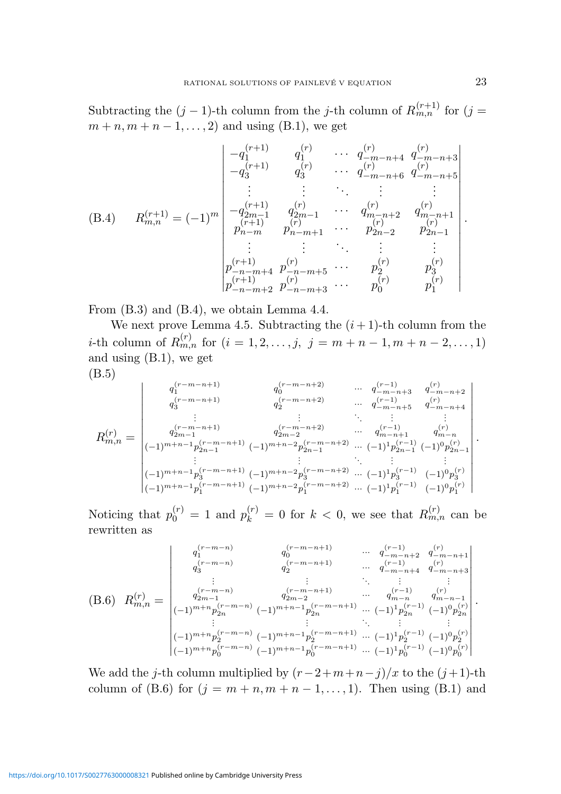Subtracting the  $(j-1)$ -th column from the j-th column of  $R_{m,n}^{(r+1)}$  for  $(j=$  $m + n, m + n - 1, \ldots, 2$  and using (B.1), we get

$$
(B.4) \t R_{m,n}^{(r+1)} = (-1)^m \begin{vmatrix}\n-q_1^{(r+1)} & q_1^{(r)} & \cdots & q_{-m-n+4}^{(r)} & q_{-m-n+3}^{(r)} \\
-q_3^{(r+1)} & q_3^{(r)} & \cdots & q_{-m-n+6}^{(r)} & q_{-m-n+5}^{(r)} \\
\vdots & \vdots & \ddots & \vdots & \vdots \\
-q_{2m-1}^{(r+1)} & q_{2m-1}^{(r)} & \cdots & q_{m-n+2}^{(r)} & q_{m-n+1}^{(r)} \\
p_{n-m}^{(r+1)} & p_{n-m+1}^{(r)} & \cdots & p_{2n-2}^{(r)} & p_{2n-1}^{(r)} \\
\vdots & \vdots & \ddots & \vdots & \vdots \\
p_{-n-m+4}^{(r+1)} & p_{-n-m+5}^{(r)} & \cdots & p_2^{(r)} & p_3^{(r)} \\
p_{-n-m+2}^{(r+1)} & p_{-n-m+3}^{(r)} & \cdots & p_0^{(r)} & p_1^{(r)}\n\end{vmatrix}.
$$

From (B.3) and (B.4), we obtain Lemma 4.4.

We next prove Lemma 4.5. Subtracting the  $(i+1)$ -th column from the *i*-th column of  $R_{m,n}^{(r)}$  for  $(i = 1, 2, ..., j, j = m+n-1, m+n-2, ..., 1)$ and using (B.1), we get

$$
(\mathrm{B.5})
$$

$$
R_{m,n}^{(r)} = \begin{vmatrix} q_1^{(r-m-n+1)} & q_0^{(r-m-n+2)} & \cdots & q_{-m-n+3}^{(r-1)} & q_{-m-n+2}^{(r)} \\ q_3^{(r-m-n+1)} & q_2^{(r-m-n+2)} & \cdots & q_{-m-n+5}^{(r-1)} & q_{-m-n+4}^{(r)} \\ \vdots & \vdots & \ddots & \vdots & \vdots \\ q_{2m-1}^{(r-m-n+1)} & q_{2m-2}^{(r-m-n+2)} & \cdots & q_{m-n+1}^{(r-1)} & q_{m-n}^{(r)} \\ ( -1)^{m+n-1} p_{2n-1}^{(r-m-n+1)} & (-1)^{m+n-2} p_{2n-1}^{(r-m-n+2)} & \cdots & (-1)^1 p_{2n-1}^{(r-1)} & (-1)^0 p_{2n-1}^{(r)} \\ \vdots & \vdots & \ddots & \vdots & \vdots \\ (-1)^{m+n-1} p_3^{(r-m-n+1)} & (-1)^{m+n-2} p_3^{(r-m-n+2)} & \cdots & (-1)^1 p_3^{(r-1)} & (-1)^0 p_3^{(r)} \\ (-1)^{m+n-1} p_1^{(r-m-n+1)} & (-1)^{m+n-2} p_1^{(r-m-n+2)} & \cdots & (-1)^1 p_1^{(r-1)} & (-1)^0 p_1^{(r)} \end{vmatrix}.
$$

Noticing that  $p_0^{(r)} = 1$  and  $p_k^{(r)} = 0$  for  $k < 0$ , we see that  $R_{m,n}^{(r)}$  can be rewritten as

$$
(B.6) \ R_{m,n}^{(r)} = \begin{vmatrix} q_1^{(r-m-n)} & q_0^{(r-m-n+1)} & \cdots & q_{-m-n+2}^{(r-1)} & q_{-m-n+1}^{(r)} \\ q_3^{(r-m-n)} & q_2^{(r-m-n+1)} & \cdots & q_{-m-n+4}^{(r-1)} & q_{-m-n+3}^{(r)} \\ \vdots & \vdots & \ddots & \vdots & \vdots \\ q_{2m-1}^{(r-m-n)} & q_{2m-2}^{(r-m-n+1)} & \cdots & q_{m-n}^{(r-1)} & q_{m-n-1}^{(r)} \\ (-1)^{m+n} p_{2n}^{(r-m-n)} & (-1)^{m+n-1} p_{2n}^{(r-m-n+1)} & \cdots & (-1)^1 p_{2n}^{(r-1)} & (-1)^0 p_{2n}^{(r)} \\ \vdots & \vdots & \ddots & \vdots & \vdots \\ (-1)^{m+n} p_0^{(r-m-n)} & (-1)^{m+n-1} p_0^{(r-m-n+1)} & \cdots & (-1)^1 p_2^{(r-1)} & (-1)^0 p_2^{(r)} \\ (-1)^{m+n} p_0^{(r-m-n)} & (-1)^{m+n-1} p_0^{(r-m-n+1)} & \cdots & (-1)^1 p_0^{(r-1)} & (-1)^0 p_0^{(r)} \end{vmatrix}.
$$

We add the j-th column multiplied by  $(r-2+m+n-j)/x$  to the  $(j+1)$ -th column of (B.6) for  $(j = m + n, m + n - 1, \ldots, 1)$ . Then using (B.1) and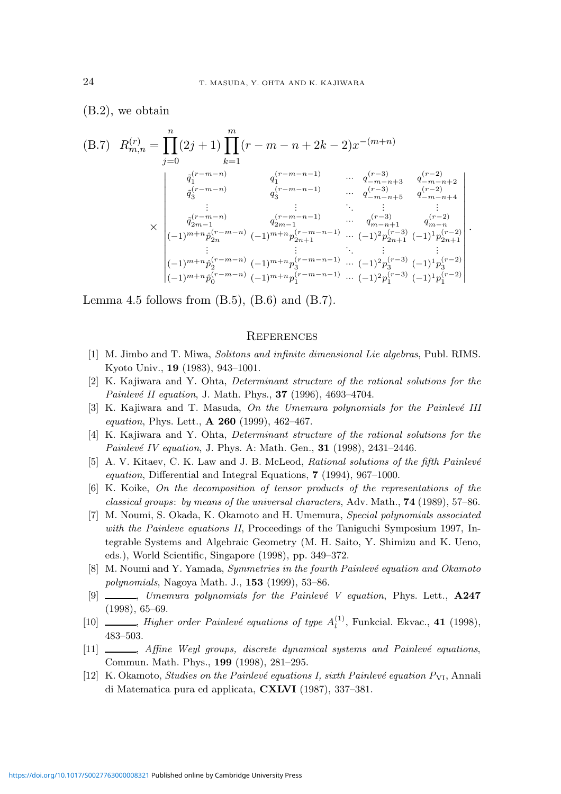(B.2), we obtain

(B.7) 
$$
R_{m,n}^{(r)} = \prod_{j=0}^{n} (2j+1) \prod_{k=1}^{m} (r-m-n+2k-2)x^{-(m+n)}
$$

$$
\frac{q_1^{(r-m-n)}}{q_3^{(r-m-n)}} \qquad \begin{array}{c} q_1^{(r-m-n-1)} & \cdots & q_{-m-n+3}^{(r-3)} & q_{-m-n+2}^{(r-2)} \\ q_3^{(r-m-n)} & q_3^{(r-m-n-1)} & \cdots & q_{-m-n+5}^{(r-3)} & q_{-m-n+4}^{(r-2)} \\ \vdots & \vdots & \ddots & \vdots & \vdots \\ q_{2m-1}^{(r-m-n)} & q_{2m-1}^{(r-m-n-1)} & \cdots & q_{m-n+1}^{(r-3)} & q_{m-n}^{(r-2)} \\ \vdots & \vdots & \ddots & \vdots & \vdots \\ q_{2m-1}^{(r-m-n)} & q_{2m+1}^{(r-m-n-1)} & \cdots & q_{2m+1}^{(r-3)} & q_{m-n+1}^{(r-2)} \\ \vdots & \vdots & \ddots & \vdots & \vdots \\ q_{2m-1}^{(r-m-n)} & q_{2m+1}^{(r-m-n-1)} & \cdots & q_{2m+1}^{(r-3)} & q_{2m+1}^{(r-2)} \\ \vdots & \vdots & \ddots & \vdots & \vdots \\ q_{2m}^{(r-m-n)} & q_{2m+1}^{(r-m-n-1)} & \cdots & q_{2m+1}^{(r-3)} & q_{2m+1}^{(r-2)} \\ \vdots & \vdots & \ddots & \vdots & \vdots \\ q_{2m}^{(r-m-n)} & q_{2m+1}^{(r-m-n-1)} & \cdots & q_{2m+1}^{(r-3)} & q_{2m+1}^{(r-2)} \\ \vdots & \vdots & \ddots & \vdots \\ q_{2m}^{(r-m-n)} & q_{2m+1}^{(r-m-n-1)} & \cdots & q_{2m+1}^{(r-3)} & q_{2m+1}^{(r-2)} \\ \vdots & \vdots & \ddots & \vdots \\ q_{2m}^{(r-m-n)} & q_{2m+1}^{(r-m-n-1)} & \cdots & q_{2m+1}^{(r-3)} & q_{2m+1}^{(r-2)} \\ \vdots & \vdots &
$$

Lemma 4.5 follows from  $(B.5)$ ,  $(B.6)$  and  $(B.7)$ .

#### **REFERENCES**

- [1] M. Jimbo and T. Miwa, Solitons and infinite dimensional Lie algebras, Publ. RIMS. Kyoto Univ., 19 (1983), 943–1001.
- [2] K. Kajiwara and Y. Ohta, Determinant structure of the rational solutions for the Painlevé II equation, J. Math. Phys.,  $37$  (1996), 4693-4704.
- [3] K. Kajiwara and T. Masuda, On the Umemura polynomials for the Painlevé III equation, Phys. Lett., A 260 (1999), 462–467.
- [4] K. Kajiwara and Y. Ohta, Determinant structure of the rational solutions for the Painlevé IV equation, J. Phys. A: Math. Gen.,  $31$  (1998), 2431–2446.
- [5] A. V. Kitaev, C. K. Law and J. B. McLeod, Rational solutions of the fifth Painlevé equation, Differential and Integral Equations, 7 (1994), 967–1000.
- [6] K. Koike, On the decomposition of tensor products of the representations of the classical groups: by means of the universal characters, Adv. Math., 74 (1989), 57–86.
- [7] M. Noumi, S. Okada, K. Okamoto and H. Umemura, Special polynomials associated with the Painleve equations II, Proceedings of the Taniguchi Symposium 1997, Integrable Systems and Algebraic Geometry (M. H. Saito, Y. Shimizu and K. Ueno, eds.), World Scientific, Singapore (1998), pp. 349–372.
- [8] M. Noumi and Y. Yamada, *Symmetries in the fourth Painlevé equation and Okamoto* polynomials, Nagoya Math. J., 153 (1999), 53–86.
- [9]  $\_\_\_\_\_\_\_\_\_\_\_\_\_\_\_\_\_\_\_\_\_\_\_\_\_\_\_\_\_\_$  Duemura polynomials for the Painlevé V equation, Phys. Lett.,  $\mathbf{A}247$ (1998), 65–69.
- [10]  $\_\_\_\_\_\_\$  Higher order Painlevé equations of type  $A_l^{(1)}$ , Funkcial. Ekvac., 41 (1998), 483–503.
- [11]  $\_\_\_\_\$  Affine Weyl groups, discrete dynamical systems and Painlevé equations, Commun. Math. Phys., 199 (1998), 281–295.
- [12] K. Okamoto, *Studies on the Painlevé equations I, sixth Painlevé equation P* $_{\rm VI}$ , Annali di Matematica pura ed applicata, CXLVI (1987), 337–381.